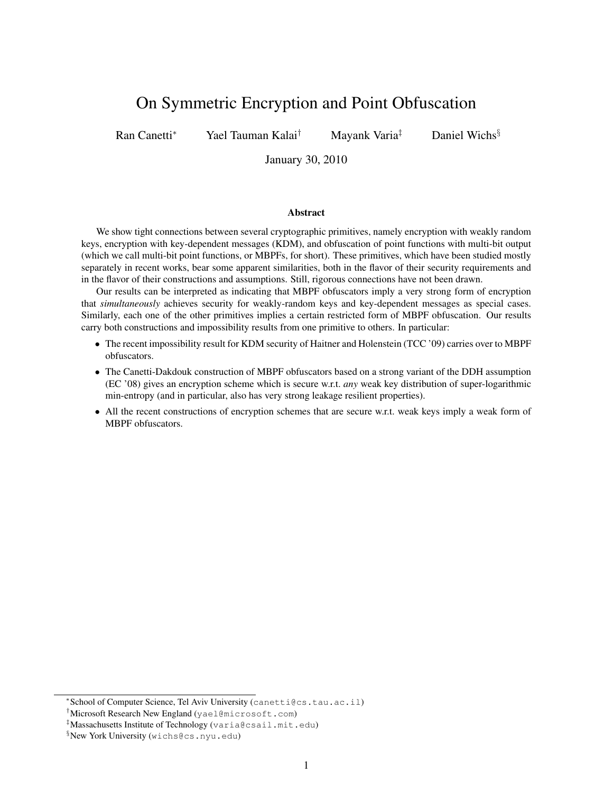# On Symmetric Encryption and Point Obfuscation

Ran Canetti<sup>∗</sup> Yael Tauman Kalai† Mayank Varia‡ Daniel Wichs§

January 30, 2010

#### Abstract

We show tight connections between several cryptographic primitives, namely encryption with weakly random keys, encryption with key-dependent messages (KDM), and obfuscation of point functions with multi-bit output (which we call multi-bit point functions, or MBPFs, for short). These primitives, which have been studied mostly separately in recent works, bear some apparent similarities, both in the flavor of their security requirements and in the flavor of their constructions and assumptions. Still, rigorous connections have not been drawn.

Our results can be interpreted as indicating that MBPF obfuscators imply a very strong form of encryption that *simultaneously* achieves security for weakly-random keys and key-dependent messages as special cases. Similarly, each one of the other primitives implies a certain restricted form of MBPF obfuscation. Our results carry both constructions and impossibility results from one primitive to others. In particular:

- The recent impossibility result for KDM security of Haitner and Holenstein (TCC '09) carries over to MBPF obfuscators.
- The Canetti-Dakdouk construction of MBPF obfuscators based on a strong variant of the DDH assumption (EC '08) gives an encryption scheme which is secure w.r.t. *any* weak key distribution of super-logarithmic min-entropy (and in particular, also has very strong leakage resilient properties).
- All the recent constructions of encryption schemes that are secure w.r.t. weak keys imply a weak form of MBPF obfuscators.

<sup>∗</sup> School of Computer Science, Tel Aviv University (canetti@cs.tau.ac.il)

<sup>†</sup>Microsoft Research New England (yael@microsoft.com)

<sup>‡</sup>Massachusetts Institute of Technology (varia@csail.mit.edu)

<sup>§</sup>New York University (wichs@cs.nyu.edu)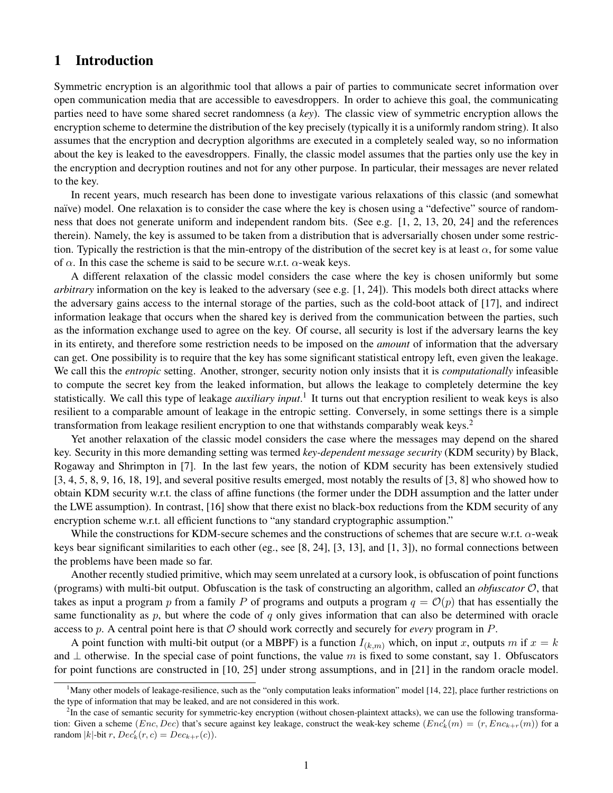### 1 Introduction

Symmetric encryption is an algorithmic tool that allows a pair of parties to communicate secret information over open communication media that are accessible to eavesdroppers. In order to achieve this goal, the communicating parties need to have some shared secret randomness (a *key*). The classic view of symmetric encryption allows the encryption scheme to determine the distribution of the key precisely (typically it is a uniformly random string). It also assumes that the encryption and decryption algorithms are executed in a completely sealed way, so no information about the key is leaked to the eavesdroppers. Finally, the classic model assumes that the parties only use the key in the encryption and decryption routines and not for any other purpose. In particular, their messages are never related to the key.

In recent years, much research has been done to investigate various relaxations of this classic (and somewhat naïve) model. One relaxation is to consider the case where the key is chosen using a "defective" source of randomness that does not generate uniform and independent random bits. (See e.g. [1, 2, 13, 20, 24] and the references therein). Namely, the key is assumed to be taken from a distribution that is adversarially chosen under some restriction. Typically the restriction is that the min-entropy of the distribution of the secret key is at least  $\alpha$ , for some value of  $\alpha$ . In this case the scheme is said to be secure w.r.t.  $\alpha$ -weak keys.

A different relaxation of the classic model considers the case where the key is chosen uniformly but some *arbitrary* information on the key is leaked to the adversary (see e.g. [1, 24]). This models both direct attacks where the adversary gains access to the internal storage of the parties, such as the cold-boot attack of [17], and indirect information leakage that occurs when the shared key is derived from the communication between the parties, such as the information exchange used to agree on the key. Of course, all security is lost if the adversary learns the key in its entirety, and therefore some restriction needs to be imposed on the *amount* of information that the adversary can get. One possibility is to require that the key has some significant statistical entropy left, even given the leakage. We call this the *entropic* setting. Another, stronger, security notion only insists that it is *computationally* infeasible to compute the secret key from the leaked information, but allows the leakage to completely determine the key statistically. We call this type of leakage *auxiliary input*. 1 It turns out that encryption resilient to weak keys is also resilient to a comparable amount of leakage in the entropic setting. Conversely, in some settings there is a simple transformation from leakage resilient encryption to one that withstands comparably weak keys.<sup>2</sup>

Yet another relaxation of the classic model considers the case where the messages may depend on the shared key. Security in this more demanding setting was termed *key-dependent message security* (KDM security) by Black, Rogaway and Shrimpton in [7]. In the last few years, the notion of KDM security has been extensively studied [3, 4, 5, 8, 9, 16, 18, 19], and several positive results emerged, most notably the results of [3, 8] who showed how to obtain KDM security w.r.t. the class of affine functions (the former under the DDH assumption and the latter under the LWE assumption). In contrast, [16] show that there exist no black-box reductions from the KDM security of any encryption scheme w.r.t. all efficient functions to "any standard cryptographic assumption."

While the constructions for KDM-secure schemes and the constructions of schemes that are secure w.r.t.  $\alpha$ -weak keys bear significant similarities to each other (eg., see [8, 24], [3, 13], and [1, 3]), no formal connections between the problems have been made so far.

Another recently studied primitive, which may seem unrelated at a cursory look, is obfuscation of point functions (programs) with multi-bit output. Obfuscation is the task of constructing an algorithm, called an *obfuscator* O, that takes as input a program p from a family P of programs and outputs a program  $q = \mathcal{O}(p)$  that has essentially the same functionality as p, but where the code of q only gives information that can also be determined with oracle access to p. A central point here is that  $\mathcal O$  should work correctly and securely for *every* program in  $P$ .

A point function with multi-bit output (or a MBPF) is a function  $I_{(k,m)}$  which, on input x, outputs m if  $x = k$ and  $\perp$  otherwise. In the special case of point functions, the value m is fixed to some constant, say 1. Obfuscators for point functions are constructed in [10, 25] under strong assumptions, and in [21] in the random oracle model.

 $<sup>1</sup>$ Many other models of leakage-resilience, such as the "only computation leaks information" model [14, 22], place further restrictions on</sup> the type of information that may be leaked, and are not considered in this work.

<sup>&</sup>lt;sup>2</sup>In the case of semantic security for symmetric-key encryption (without chosen-plaintext attacks), we can use the following transformation: Given a scheme (*Enc*, *Dec*) that's secure against key leakage, construct the weak-key scheme ( $Enc_k(m) = (r, Enc_{k+r}(m))$  for a random  $|k|$ -bit  $r$ ,  $Dec'_k(r, c) = Dec_{k+r}(c)$ ).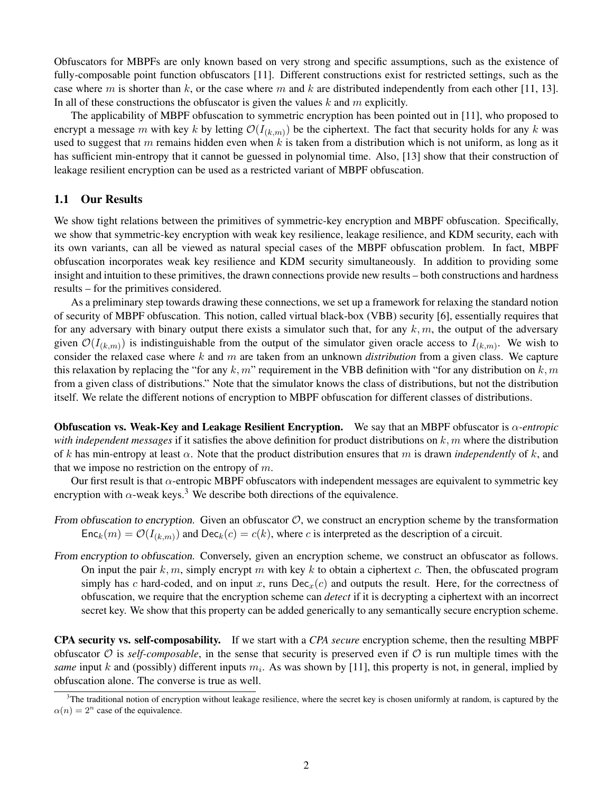Obfuscators for MBPFs are only known based on very strong and specific assumptions, such as the existence of fully-composable point function obfuscators [11]. Different constructions exist for restricted settings, such as the case where m is shorter than k, or the case where m and k are distributed independently from each other [11, 13]. In all of these constructions the obfuscator is given the values  $k$  and  $m$  explicitly.

The applicability of MBPF obfuscation to symmetric encryption has been pointed out in [11], who proposed to encrypt a message m with key k by letting  $\mathcal{O}(I_{(k,m)})$  be the ciphertext. The fact that security holds for any k was used to suggest that m remains hidden even when  $k$  is taken from a distribution which is not uniform, as long as it has sufficient min-entropy that it cannot be guessed in polynomial time. Also, [13] show that their construction of leakage resilient encryption can be used as a restricted variant of MBPF obfuscation.

#### 1.1 Our Results

We show tight relations between the primitives of symmetric-key encryption and MBPF obfuscation. Specifically, we show that symmetric-key encryption with weak key resilience, leakage resilience, and KDM security, each with its own variants, can all be viewed as natural special cases of the MBPF obfuscation problem. In fact, MBPF obfuscation incorporates weak key resilience and KDM security simultaneously. In addition to providing some insight and intuition to these primitives, the drawn connections provide new results – both constructions and hardness results – for the primitives considered.

As a preliminary step towards drawing these connections, we set up a framework for relaxing the standard notion of security of MBPF obfuscation. This notion, called virtual black-box (VBB) security [6], essentially requires that for any adversary with binary output there exists a simulator such that, for any  $k, m$ , the output of the adversary given  $\mathcal{O}(I_{(k,m)})$  is indistinguishable from the output of the simulator given oracle access to  $I_{(k,m)}$ . We wish to consider the relaxed case where k and m are taken from an unknown *distribution* from a given class. We capture this relaxation by replacing the "for any k, m" requirement in the VBB definition with "for any distribution on k, m from a given class of distributions." Note that the simulator knows the class of distributions, but not the distribution itself. We relate the different notions of encryption to MBPF obfuscation for different classes of distributions.

Obfuscation vs. Weak-Key and Leakage Resilient Encryption. We say that an MBPF obfuscator is α*-entropic with independent messages* if it satisfies the above definition for product distributions on k, m where the distribution of k has min-entropy at least α. Note that the product distribution ensures that m is drawn *independently* of k, and that we impose no restriction on the entropy of  $m$ .

Our first result is that  $\alpha$ -entropic MBPF obfuscators with independent messages are equivalent to symmetric key encryption with  $\alpha$ -weak keys.<sup>3</sup> We describe both directions of the equivalence.

- From obfuscation to encryption. Given an obfuscator  $O$ , we construct an encryption scheme by the transformation  $Enc_k(m) = \mathcal{O}(I_{(k,m)})$  and  $Dec_k(c) = c(k)$ , where c is interpreted as the description of a circuit.
- From encryption to obfuscation. Conversely, given an encryption scheme, we construct an obfuscator as follows. On input the pair  $k, m$ , simply encrypt m with key k to obtain a ciphertext c. Then, the obfuscated program simply has c hard-coded, and on input x, runs  $Dec<sub>x</sub>(c)$  and outputs the result. Here, for the correctness of obfuscation, we require that the encryption scheme can *detect* if it is decrypting a ciphertext with an incorrect secret key. We show that this property can be added generically to any semantically secure encryption scheme.

CPA security vs. self-composability. If we start with a *CPA secure* encryption scheme, then the resulting MBPF obfuscator  $\mathcal O$  is *self-composable*, in the sense that security is preserved even if  $\mathcal O$  is run multiple times with the same input k and (possibly) different inputs  $m_i$ . As was shown by [11], this property is not, in general, implied by obfuscation alone. The converse is true as well.

 $3$ The traditional notion of encryption without leakage resilience, where the secret key is chosen uniformly at random, is captured by the  $\alpha(n) = 2^n$  case of the equivalence.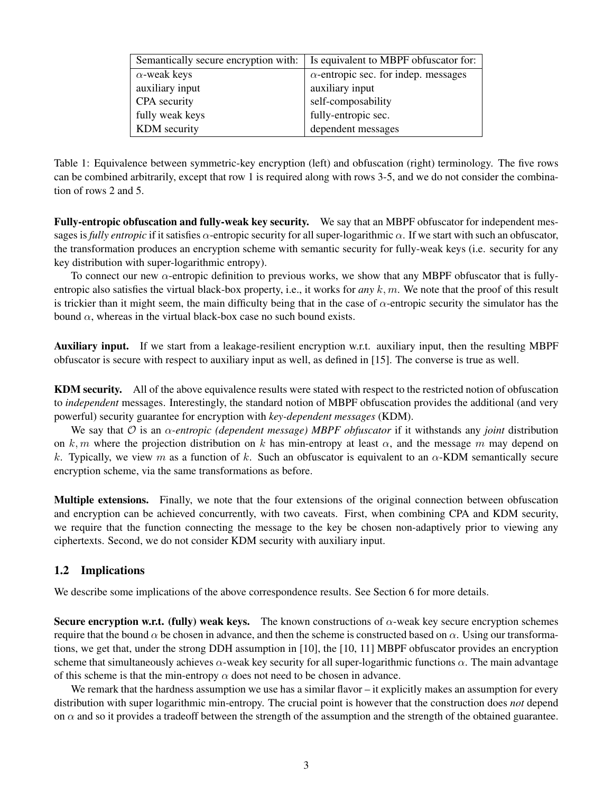| Semantically secure encryption with: | Is equivalent to MBPF obfuscator for:       |
|--------------------------------------|---------------------------------------------|
| $\alpha$ -weak keys                  | $\alpha$ -entropic sec. for indep. messages |
| auxiliary input                      | auxiliary input                             |
| CPA security                         | self-composability                          |
| fully weak keys                      | fully-entropic sec.                         |
| KDM security                         | dependent messages                          |

Table 1: Equivalence between symmetric-key encryption (left) and obfuscation (right) terminology. The five rows can be combined arbitrarily, except that row 1 is required along with rows 3-5, and we do not consider the combination of rows 2 and 5.

Fully-entropic obfuscation and fully-weak key security. We say that an MBPF obfuscator for independent messages is *fully entropic* if it satisfies  $\alpha$ -entropic security for all super-logarithmic  $\alpha$ . If we start with such an obfuscator, the transformation produces an encryption scheme with semantic security for fully-weak keys (i.e. security for any key distribution with super-logarithmic entropy).

To connect our new  $\alpha$ -entropic definition to previous works, we show that any MBPF obfuscator that is fullyentropic also satisfies the virtual black-box property, i.e., it works for *any* k, m. We note that the proof of this result is trickier than it might seem, the main difficulty being that in the case of  $\alpha$ -entropic security the simulator has the bound  $\alpha$ , whereas in the virtual black-box case no such bound exists.

Auxiliary input. If we start from a leakage-resilient encryption w.r.t. auxiliary input, then the resulting MBPF obfuscator is secure with respect to auxiliary input as well, as defined in [15]. The converse is true as well.

KDM security. All of the above equivalence results were stated with respect to the restricted notion of obfuscation to *independent* messages. Interestingly, the standard notion of MBPF obfuscation provides the additional (and very powerful) security guarantee for encryption with *key-dependent messages* (KDM).

We say that O is an α*-entropic (dependent message) MBPF obfuscator* if it withstands any *joint* distribution on k, m where the projection distribution on k has min-entropy at least  $\alpha$ , and the message m may depend on k. Typically, we view m as a function of k. Such an obfuscator is equivalent to an  $\alpha$ -KDM semantically secure encryption scheme, via the same transformations as before.

Multiple extensions. Finally, we note that the four extensions of the original connection between obfuscation and encryption can be achieved concurrently, with two caveats. First, when combining CPA and KDM security, we require that the function connecting the message to the key be chosen non-adaptively prior to viewing any ciphertexts. Second, we do not consider KDM security with auxiliary input.

### 1.2 Implications

We describe some implications of the above correspondence results. See Section 6 for more details.

Secure encryption w.r.t. (fully) weak keys. The known constructions of  $\alpha$ -weak key secure encryption schemes require that the bound  $\alpha$  be chosen in advance, and then the scheme is constructed based on  $\alpha$ . Using our transformations, we get that, under the strong DDH assumption in [10], the [10, 11] MBPF obfuscator provides an encryption scheme that simultaneously achieves  $\alpha$ -weak key security for all super-logarithmic functions  $\alpha$ . The main advantage of this scheme is that the min-entropy  $\alpha$  does not need to be chosen in advance.

We remark that the hardness assumption we use has a similar flavor – it explicitly makes an assumption for every distribution with super logarithmic min-entropy. The crucial point is however that the construction does *not* depend on  $\alpha$  and so it provides a tradeoff between the strength of the assumption and the strength of the obtained guarantee.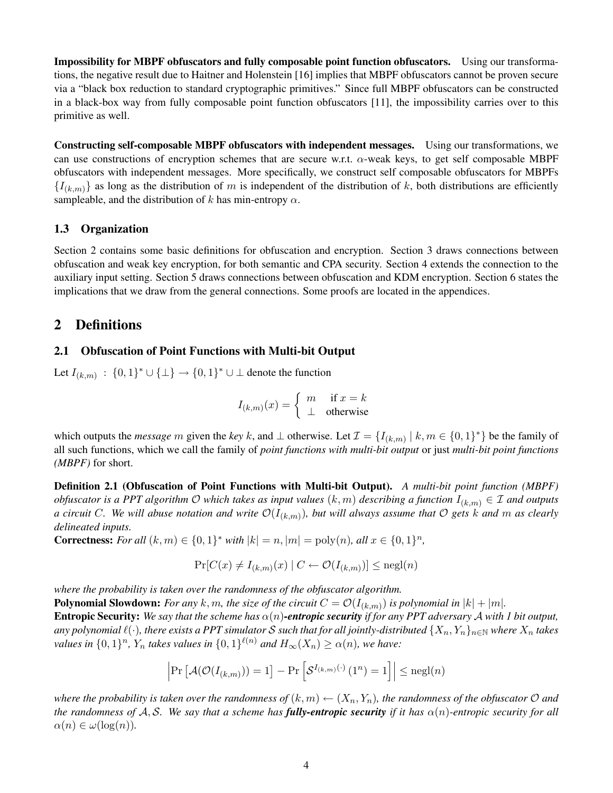Impossibility for MBPF obfuscators and fully composable point function obfuscators. Using our transformations, the negative result due to Haitner and Holenstein [16] implies that MBPF obfuscators cannot be proven secure via a "black box reduction to standard cryptographic primitives." Since full MBPF obfuscators can be constructed in a black-box way from fully composable point function obfuscators [11], the impossibility carries over to this primitive as well.

Constructing self-composable MBPF obfuscators with independent messages. Using our transformations, we can use constructions of encryption schemes that are secure w.r.t.  $\alpha$ -weak keys, to get self composable MBPF obfuscators with independent messages. More specifically, we construct self composable obfuscators for MBPFs  $\{I_{(k,m)}\}$  as long as the distribution of m is independent of the distribution of k, both distributions are efficiently sampleable, and the distribution of k has min-entropy  $\alpha$ .

#### 1.3 Organization

Section 2 contains some basic definitions for obfuscation and encryption. Section 3 draws connections between obfuscation and weak key encryption, for both semantic and CPA security. Section 4 extends the connection to the auxiliary input setting. Section 5 draws connections between obfuscation and KDM encryption. Section 6 states the implications that we draw from the general connections. Some proofs are located in the appendices.

### 2 Definitions

#### 2.1 Obfuscation of Point Functions with Multi-bit Output

Let  $I_{(k,m)}$ :  $\{0,1\}^* \cup {\{\perp\}} \to \{0,1\}^* \cup {\perp}$  denote the function

$$
I_{(k,m)}(x) = \begin{cases} m & \text{if } x = k \\ \perp & \text{otherwise} \end{cases}
$$

which outputs the *message* m given the *key* k, and  $\perp$  otherwise. Let  $\mathcal{I} = \{I_{(k,m)} \mid k, m \in \{0,1\}^*\}$  be the family of all such functions, which we call the family of *point functions with multi-bit output* or just *multi-bit point functions (MBPF)* for short.

Definition 2.1 (Obfuscation of Point Functions with Multi-bit Output). *A multi-bit point function (MBPF) obfuscator is a PPT algorithm*  $O$  *which takes as input values*  $(k, m)$  *describing a function*  $I_{(k,m)} \in \mathcal{I}$  *and outputs* a circuit C. We will abuse notation and write  $\mathcal{O}(I_{(k,m)})$ , but will always assume that O gets  $k$  and  $m$  as clearly *delineated inputs.*

**Correctness:** *For all*  $(k, m) \in \{0, 1\}^*$  *with*  $|k| = n$ ,  $|m| = \text{poly}(n)$ *, all*  $x \in \{0, 1\}^n$ *,* 

$$
\Pr[C(x) \neq I_{(k,m)}(x) \mid C \leftarrow \mathcal{O}(I_{(k,m)})] \leq \text{negl}(n)
$$

*where the probability is taken over the randomness of the obfuscator algorithm.*

**Polynomial Slowdown:** For any k, m, the size of the circuit  $C = \mathcal{O}(I_{(k,m)})$  is polynomial in  $|k| + |m|$ .

Entropic Security: We say that the scheme has  $\alpha(n)$ -entropic security *if for any PPT adversary* A with 1 bit output, *any polynomial*  $\ell(\cdot)$ *, there exists a PPT simulator* S *such that for all jointly-distributed*  $\{X_n, Y_n\}_{n\in\mathbb{N}}$  *where*  $X_n$  *takes values in*  $\{0,1\}^n$ ,  $Y_n$  *takes values in*  $\{0,1\}^{\ell(n)}$  *and*  $H_\infty(X_n) \ge \alpha(n)$ *, we have:* 

$$
\left|\Pr\left[\mathcal{A}(\mathcal{O}(I_{(k,m)}))=1\right]-\Pr\left[\mathcal{S}^{I_{(k,m)}(\cdot)}(1^n)=1\right]\right|\leq \mathrm{negl}(n)
$$

*where the probability is taken over the randomness of*  $(k, m) \leftarrow (X_n, Y_n)$ , the randomness of the obfuscator  $O$  and *the randomness of*  $A, S$ *. We say that a scheme has fully-entropic security if it has*  $\alpha(n)$ *-entropic security for all*  $\alpha(n) \in \omega(\log(n)).$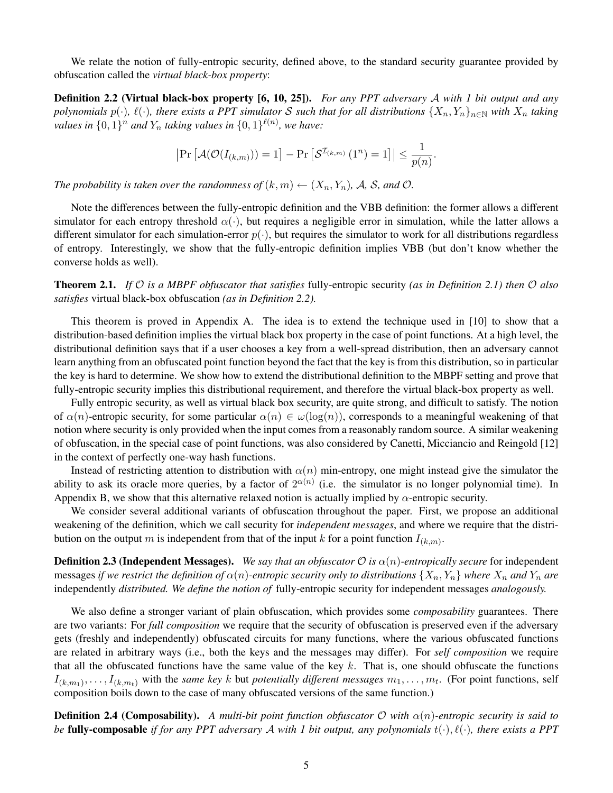We relate the notion of fully-entropic security, defined above, to the standard security guarantee provided by obfuscation called the *virtual black-box property*:

Definition 2.2 (Virtual black-box property [6, 10, 25]). *For any PPT adversary* A *with 1 bit output and any polynomials*  $p(\cdot)$ ,  $\ell(\cdot)$ , there exists a PPT simulator S such that for all distributions  $\{X_n, Y_n\}_{n\in\mathbb{N}}$  with  $X_n$  taking values in  $\{0,1\}^n$  and  $Y_n$  taking values in  $\{0,1\}^{\ell(n)}$ , we have:

$$
\left|\Pr\left[\mathcal{A}(\mathcal{O}(I_{(k,m)}))=1\right]-\Pr\left[\mathcal{S}^{\mathcal{I}_{(k,m)}}\left(1^n\right)=1\right]\right|\leq \frac{1}{p(n)}.
$$

*The probability is taken over the randomness of*  $(k, m) \leftarrow (X_n, Y_n)$ , A, S, and O.

Note the differences between the fully-entropic definition and the VBB definition: the former allows a different simulator for each entropy threshold  $\alpha(.)$ , but requires a negligible error in simulation, while the latter allows a different simulator for each simulation-error  $p(\cdot)$ , but requires the simulator to work for all distributions regardless of entropy. Interestingly, we show that the fully-entropic definition implies VBB (but don't know whether the converse holds as well).

Theorem 2.1. *If* O *is a MBPF obfuscator that satisfies* fully-entropic security *(as in Definition 2.1) then* O *also satisfies* virtual black-box obfuscation *(as in Definition 2.2).*

This theorem is proved in Appendix A. The idea is to extend the technique used in [10] to show that a distribution-based definition implies the virtual black box property in the case of point functions. At a high level, the distributional definition says that if a user chooses a key from a well-spread distribution, then an adversary cannot learn anything from an obfuscated point function beyond the fact that the key is from this distribution, so in particular the key is hard to determine. We show how to extend the distributional definition to the MBPF setting and prove that fully-entropic security implies this distributional requirement, and therefore the virtual black-box property as well.

Fully entropic security, as well as virtual black box security, are quite strong, and difficult to satisfy. The notion of  $\alpha(n)$ -entropic security, for some particular  $\alpha(n) \in \omega(\log(n))$ , corresponds to a meaningful weakening of that notion where security is only provided when the input comes from a reasonably random source. A similar weakening of obfuscation, in the special case of point functions, was also considered by Canetti, Micciancio and Reingold [12] in the context of perfectly one-way hash functions.

Instead of restricting attention to distribution with  $\alpha(n)$  min-entropy, one might instead give the simulator the ability to ask its oracle more queries, by a factor of  $2^{\alpha(n)}$  (i.e. the simulator is no longer polynomial time). In Appendix B, we show that this alternative relaxed notion is actually implied by  $\alpha$ -entropic security.

We consider several additional variants of obfuscation throughout the paper. First, we propose an additional weakening of the definition, which we call security for *independent messages*, and where we require that the distribution on the output m is independent from that of the input k for a point function  $I_{(k,m)}$ .

**Definition 2.3 (Independent Messages).** We say that an obfuscator  $\mathcal{O}$  is  $\alpha(n)$ -entropically secure for independent messages *if we restrict the definition of*  $\alpha(n)$ -entropic security only to distributions  $\{X_n, Y_n\}$  where  $X_n$  and  $Y_n$  are independently *distributed. We define the notion of* fully-entropic security for independent messages *analogously.*

We also define a stronger variant of plain obfuscation, which provides some *composability* guarantees. There are two variants: For *full composition* we require that the security of obfuscation is preserved even if the adversary gets (freshly and independently) obfuscated circuits for many functions, where the various obfuscated functions are related in arbitrary ways (i.e., both the keys and the messages may differ). For *self composition* we require that all the obfuscated functions have the same value of the key  $k$ . That is, one should obfuscate the functions  $I_{(k,m_1)},\ldots,I_{(k,m_t)}$  with the *same key k* but *potentially different messages*  $m_1,\ldots,m_t$ . (For point functions, self composition boils down to the case of many obfuscated versions of the same function.)

**Definition 2.4 (Composability).** A multi-bit point function obfuscator  $\mathcal{O}$  with  $\alpha(n)$ -entropic security is said to *be* fully-composable *if for any PPT adversary*  $A$  *with 1 bit output, any polynomials*  $t(\cdot), \ell(\cdot)$ *, there exists a PPT*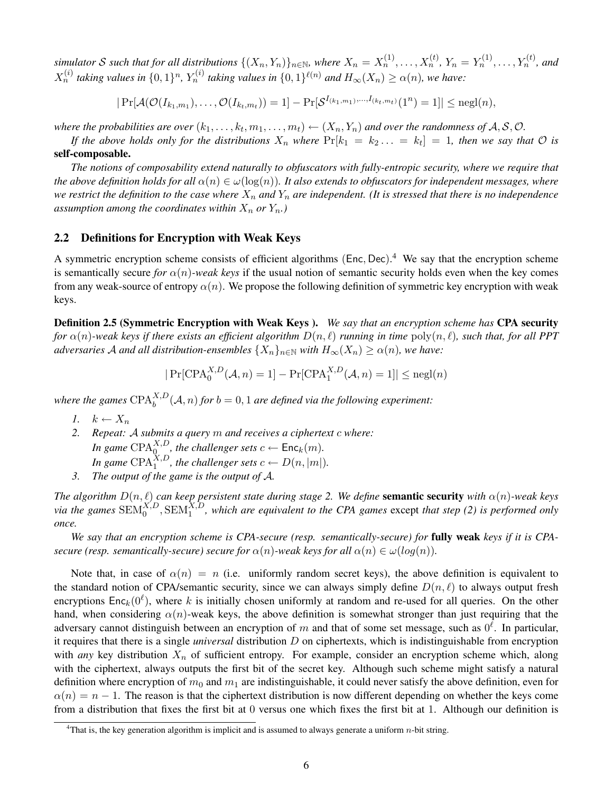$s$ *imulator*  $S$  such that for all distributions  $\{(X_n,Y_n)\}_{n\in\mathbb{N}}$ , where  $X_n=X_n^{(1)},\ldots,X_n^{(t)},$   $Y_n=Y_n^{(1)},\ldots,Y_n^{(t)},$  and  $X_n^{(i)}$  taking values in  $\{0,1\}^n$ ,  $Y_n^{(i)}$  taking values in  $\{0,1\}^{\ell(n)}$  and  $H_\infty(X_n) \ge \alpha(n)$ , we have:

$$
|\Pr[\mathcal{A}(\mathcal{O}(I_{k_1,m_1}),\ldots,\mathcal{O}(I_{k_t,m_t}))=1]-\Pr[\mathcal{S}^{I_{(k_1,m_1)},\ldots,I_{(k_t,m_t)}}(1^n)=1]|\leq \mathrm{negl}(n),
$$

where the probabilities are over  $(k_1, \ldots, k_t, m_1, \ldots, m_t) \leftarrow (X_n, Y_n)$  and over the randomness of  $A, S, O$ .

If the above holds only for the distributions  $X_n$  where  $\Pr[k_1 = k_2 \ldots = k_t] = 1$ , then we say that  $\mathcal O$  is self-composable.

*The notions of composability extend naturally to obfuscators with fully-entropic security, where we require that the above definition holds for all*  $\alpha(n) \in \omega(\log(n))$ *. It also extends to obfuscators for independent messages, where we restrict the definition to the case where*  $X_n$  *and*  $Y_n$  *are independent. (It is stressed that there is no independence* assumption among the coordinates within  $X_n$  or  $Y_n$ .)

#### 2.2 Definitions for Encryption with Weak Keys

A symmetric encryption scheme consists of efficient algorithms (Enc, Dec). <sup>4</sup> We say that the encryption scheme is semantically secure *for*  $\alpha(n)$ *-weak keys* if the usual notion of semantic security holds even when the key comes from any weak-source of entropy  $\alpha(n)$ . We propose the following definition of symmetric key encryption with weak keys.

Definition 2.5 (Symmetric Encryption with Weak Keys ). *We say that an encryption scheme has* CPA security *for*  $\alpha(n)$ -weak keys if there exists an efficient algorithm  $D(n, \ell)$  *running in time*  $\text{poly}(n, \ell)$ *, such that, for all PPT adversaries* A *and all distribution-ensembles*  $\{X_n\}_{n\in\mathbb{N}}$  *with*  $H_\infty(X_n) \ge \alpha(n)$ *, we have:* 

$$
|\Pr[\text{CPA}_0^{X,D}(\mathcal{A}, n) = 1] - \Pr[\text{CPA}_1^{X,D}(\mathcal{A}, n) = 1]| \leq \text{negl}(n)
$$

where the games  $\text{CPA}_{b}^{X,D}(\mathcal{A}, n)$  *for*  $b = 0, 1$  are defined via the following experiment:

- 1.  $k \leftarrow X_n$
- *2. Repeat:* A *submits a query* m *and receives a ciphertext* c *where: In game*  $\text{CPA}_{0}^{X,D}$ , the challenger sets  $c \leftarrow \text{Enc}_k(m)$ . *In game*  $\text{CPA}_1^{X,D}$ , the challenger sets  $c \leftarrow D(n, |m|)$ . *3.* The output of the game is the output of  $\lambda$

*The algorithm*  $D(n, \ell)$  *can keep persistent state during stage 2. We define* **semantic security** *with*  $\alpha(n)$ -weak keys via the games  $SEM_0^{X,D}$ ,  $SEM_1^{X,D}$ , which are equivalent to the CPA games except that step (2) is performed only *once.*

We say that an encryption scheme is CPA-secure (resp. semantically-secure) for **fully weak** keys if it is CPA*secure (resp. semantically-secure) secure for*  $\alpha(n)$ *-weak keys for all*  $\alpha(n) \in \omega(log(n))$ *.* 

Note that, in case of  $\alpha(n) = n$  (i.e. uniformly random secret keys), the above definition is equivalent to the standard notion of CPA/semantic security, since we can always simply define  $D(n, \ell)$  to always output fresh encryptions  $Enc_k(0^{\ell})$ , where k is initially chosen uniformly at random and re-used for all queries. On the other hand, when considering  $\alpha(n)$ -weak keys, the above definition is somewhat stronger than just requiring that the adversary cannot distinguish between an encryption of m and that of some set message, such as  $0^{\ell}$ . In particular, it requires that there is a single *universal* distribution D on ciphertexts, which is indistinguishable from encryption with *any* key distribution  $X_n$  of sufficient entropy. For example, consider an encryption scheme which, along with the ciphertext, always outputs the first bit of the secret key. Although such scheme might satisfy a natural definition where encryption of  $m_0$  and  $m_1$  are indistinguishable, it could never satisfy the above definition, even for  $\alpha(n) = n - 1$ . The reason is that the ciphertext distribution is now different depending on whether the keys come from a distribution that fixes the first bit at 0 versus one which fixes the first bit at 1. Although our definition is

<sup>&</sup>lt;sup>4</sup>That is, the key generation algorithm is implicit and is assumed to always generate a uniform *n*-bit string.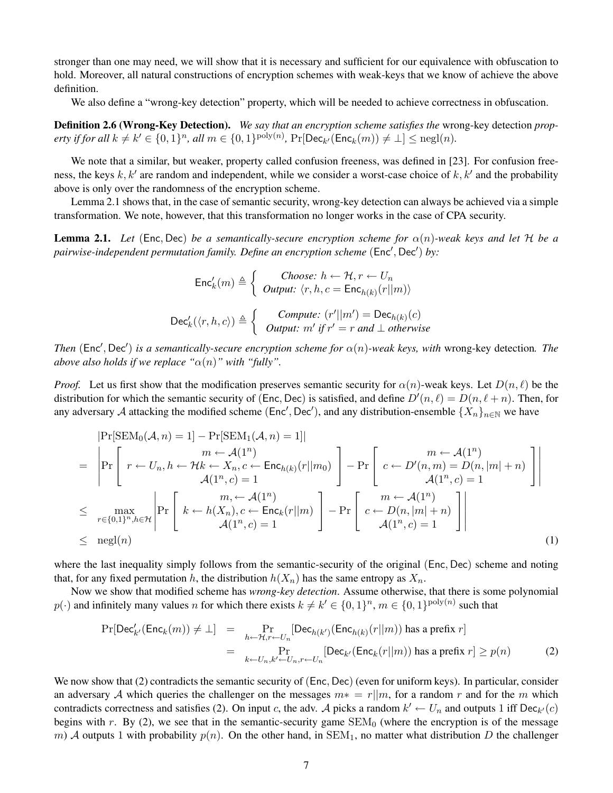stronger than one may need, we will show that it is necessary and sufficient for our equivalence with obfuscation to hold. Moreover, all natural constructions of encryption schemes with weak-keys that we know of achieve the above definition.

We also define a "wrong-key detection" property, which will be needed to achieve correctness in obfuscation.

Definition 2.6 (Wrong-Key Detection). *We say that an encryption scheme satisfies the* wrong-key detection *prop-* $\text{erty if for all } k \neq k' \in \{0, 1\}^n, \text{ all } m \in \{0, 1\}^{\text{poly}(n)}, \, \Pr[\mathsf{Dec}_{k'}(\mathsf{Enc}_k(m)) \neq \bot] \leq \text{negl}(n).$ 

We note that a similar, but weaker, property called confusion freeness, was defined in [23]. For confusion freeness, the keys  $k, k'$  are random and independent, while we consider a worst-case choice of  $k, k'$  and the probability above is only over the randomness of the encryption scheme.

Lemma 2.1 shows that, in the case of semantic security, wrong-key detection can always be achieved via a simple transformation. We note, however, that this transformation no longer works in the case of CPA security.

**Lemma 2.1.** Let (Enc, Dec) *be a semantically-secure encryption scheme for*  $\alpha(n)$ *-weak keys and let*  $H$  *be a* pairwise-independent permutation family. Define an encryption scheme (Enc<sup>'</sup>, Dec<sup>'</sup>) by:

$$
\mathsf{Enc}'_k(m) \triangleq \begin{cases} \text{Choose: } h \leftarrow \mathcal{H}, r \leftarrow U_n \\ \text{Output: } \langle r, h, c = \mathsf{Enc}_{h(k)}(r||m) \rangle \end{cases}
$$

$$
\mathsf{Dec}'_k(\langle r, h, c \rangle) \triangleq \begin{cases} \text{Compute: } (r'||m') = \mathsf{Dec}_{h(k)}(c) \\ \text{Output: } m' \text{ if } r' = r \text{ and } \bot \text{ otherwise} \end{cases}
$$

*Then* (Enc', Dec') *is a semantically-secure encryption scheme for*  $\alpha(n)$ -weak keys, with wrong-key detection. The *above also holds if we replace "* $\alpha(n)$ " *with "fully".* 

*Proof.* Let us first show that the modification preserves semantic security for  $\alpha(n)$ -weak keys. Let  $D(n, \ell)$  be the distribution for which the semantic security of (Enc, Dec) is satisfied, and define  $D'(n, \ell) = D(n, \ell + n)$ . Then, for any adversary A attacking the modified scheme (Enc', Dec'), and any distribution-ensemble  $\{X_n\}_{n\in\mathbb{N}}$  we have

$$
Pr[SEM_0(\mathcal{A}, n) = 1] - Pr[SEM_1(\mathcal{A}, n) = 1]|
$$
\n
$$
= \left| \Pr \left[ r \leftarrow U_n, h \leftarrow \mathcal{H}k \leftarrow X_n, c \leftarrow \text{Enc}_{h(k)}(r || m_0) \right] - \Pr \left[ c \leftarrow D'(n, m) = D(n, |m| + n) \right] \right] \right|
$$
\n
$$
\leq \max_{r \in \{0, 1\}^n, h \in \mathcal{H}} \left| \Pr \left[ k \leftarrow h(X_n), c \leftarrow \text{Enc}_{k}(r || m) \right] - \Pr \left[ c \leftarrow D(n, |m| + n) \right] \right| \right]
$$
\n
$$
\leq \max_{r \in \{0, 1\}^n, h \in \mathcal{H}} \left| \Pr \left[ k \leftarrow h(X_n), c \leftarrow \text{Enc}_{k}(r || m) \right] - \Pr \left[ c \leftarrow D(n, |m| + n) \right] \right| \right]
$$
\n
$$
\leq \text{negl}(n) \tag{1}
$$

where the last inequality simply follows from the semantic-security of the original (Enc, Dec) scheme and noting that, for any fixed permutation h, the distribution  $h(X_n)$  has the same entropy as  $X_n$ .

Now we show that modified scheme has *wrong-key detection*. Assume otherwise, that there is some polynomial  $p(\cdot)$  and infinitely many values n for which there exists  $k \neq k' \in \{0,1\}^n$ ,  $m \in \{0,1\}^{\text{poly}(n)}$  such that

$$
\Pr[\text{Dec}_{k'}'(\text{Enc}_{k}(m)) \neq \bot] = \Pr_{h \leftarrow \mathcal{H}, r \leftarrow U_n}[\text{Dec}_{h(k')}(\text{Enc}_{h(k)}(r||m)) \text{ has a prefix } r]
$$
  
= 
$$
\Pr_{k \leftarrow U_n, k' \leftarrow U_n, r \leftarrow U_n}[\text{Dec}_{k'}(\text{Enc}_{k}(r||m)) \text{ has a prefix } r] \geq p(n)
$$
 (2)

We now show that (2) contradicts the semantic security of (Enc, Dec) (even for uniform keys). In particular, consider an adversary A which queries the challenger on the messages  $m* = r||m$ , for a random r and for the m which contradicts correctness and satisfies (2). On input c, the adv. A picks a random  $k' \leftarrow U_n$  and outputs 1 iff Dec<sub>k'</sub>(c) begins with r. By (2), we see that in the semantic-security game  $SEM_0$  (where the encryption is of the message m) A outputs 1 with probability  $p(n)$ . On the other hand, in SEM<sub>1</sub>, no matter what distribution D the challenger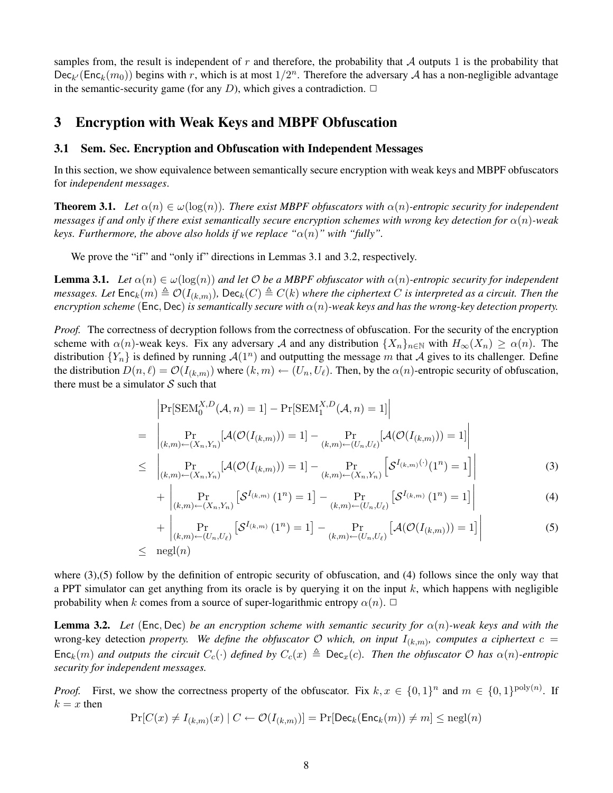samples from, the result is independent of r and therefore, the probability that  $\mathcal A$  outputs 1 is the probability that Dec<sub>k'</sub>(Enc<sub>k</sub>(m<sub>0</sub>)) begins with r, which is at most  $1/2^n$ . Therefore the adversary A has a non-negligible advantage in the semantic-security game (for any D), which gives a contradiction.  $\Box$ 

### 3 Encryption with Weak Keys and MBPF Obfuscation

### 3.1 Sem. Sec. Encryption and Obfuscation with Independent Messages

In this section, we show equivalence between semantically secure encryption with weak keys and MBPF obfuscators for *independent messages*.

**Theorem 3.1.** *Let*  $\alpha(n) \in \omega(\log(n))$ *. There exist MBPF obfuscators with*  $\alpha(n)$ *-entropic security for independent messages if and only if there exist semantically secure encryption schemes with wrong key detection for*  $\alpha(n)$ *-weak keys. Furthermore, the above also holds if we replace "* $\alpha(n)$ " *with "fully*".

We prove the "if" and "only if" directions in Lemmas 3.1 and 3.2, respectively.

**Lemma 3.1.** *Let*  $\alpha(n) \in \omega(\log(n))$  *and let* O *be a MBPF obfuscator with*  $\alpha(n)$ *-entropic security for independent*  $m$ essages. Let  $\mathsf{Enc}_k(m) \triangleq \mathcal{O}(I_{(k,m)})$ ,  $\mathsf{Dec}_k(C) \triangleq C(k)$  where the ciphertext  $C$  is interpreted as a circuit. Then the *encryption scheme* (Enc, Dec) *is semantically secure with*  $\alpha(n)$ *-weak keys and has the wrong-key detection property.* 

*Proof.* The correctness of decryption follows from the correctness of obfuscation. For the security of the encryption scheme with  $\alpha(n)$ -weak keys. Fix any adversary A and any distribution  $\{X_n\}_{n\in\mathbb{N}}$  with  $H_\infty(X_n) \ge \alpha(n)$ . The distribution  $\{Y_n\}$  is defined by running  $\mathcal{A}(1^n)$  and outputting the message m that A gives to its challenger. Define the distribution  $D(n,\ell) = \mathcal{O}(I_{(k,m)})$  where  $(k,m) \leftarrow (U_n, U_\ell)$ . Then, by the  $\alpha(n)$ -entropic security of obfuscation, there must be a simulator  $S$  such that

$$
\begin{aligned}\n &\left| \Pr[\text{SEM}_{0}^{X,D}(\mathcal{A}, n) = 1] - \Pr[\text{SEM}_{1}^{X,D}(\mathcal{A}, n) = 1] \right| \\
 &= \left| \Pr_{(k,m) \leftarrow (X_n, Y_n)}[\mathcal{A}(\mathcal{O}(I_{(k,m)})) = 1] - \Pr_{(k,m) \leftarrow (U_n, U_\ell)}[\mathcal{A}(\mathcal{O}(I_{(k,m)})) = 1] \right| \\
 &\leq \left| \Pr_{(k,m) \leftarrow (X_n, Y_n)}[\mathcal{A}(\mathcal{O}(I_{(k,m)})) = 1] - \Pr_{(k,m) \leftarrow (X_n, Y_n)}[\mathcal{S}^{I_{(k,m)}(\cdot)}(1^n) = 1] \right|\n \end{aligned}\n \tag{3}
$$

+ 
$$
\left| \Pr_{(k,m)\leftarrow(X_n,Y_n)} \left[ \mathcal{S}^{I_{(k,m)}}(1^n) = 1 \right] - \Pr_{(k,m)\leftarrow(U_n,U_\ell)} \left[ \mathcal{S}^{I_{(k,m)}}(1^n) = 1 \right] \right|
$$
 (4)

$$
+\left|\Pr_{(k,m)\leftarrow (U_n,U_\ell)}\left[\mathcal{S}^{I_{(k,m)}}\left(1^n\right)=1\right]-\Pr_{(k,m)\leftarrow (U_n,U_\ell)}\left[\mathcal{A}(\mathcal{O}(I_{(k,m)}))=1\right]\right|\tag{5}
$$

where (3),(5) follow by the definition of entropic security of obfuscation, and (4) follows since the only way that a PPT simulator can get anything from its oracle is by querying it on the input  $k$ , which happens with negligible probability when k comes from a source of super-logarithmic entropy  $\alpha(n)$ .  $\Box$ 

**Lemma 3.2.** Let (Enc, Dec) *be an encryption scheme with semantic security for*  $\alpha(n)$ *-weak keys and with the* wrong-key detection *property.* We define the obfuscator  $O$  which, on input  $I_{(k,m)}$ , computes a ciphertext  $c =$  $Enc_k(m)$  *and outputs the circuit*  $C_c(\cdot)$  *defined by*  $C_c(x) \triangleq Dec_x(c)$ *. Then the obfuscator*  $\emptyset$  *has*  $\alpha(n)$ *-entropic security for independent messages.*

*Proof.* First, we show the correctness property of the obfuscator. Fix  $k, x \in \{0, 1\}^n$  and  $m \in \{0, 1\}^{\text{poly}(n)}$ . If  $k = x$  then

$$
\Pr[C(x) \neq I_{(k,m)}(x) \mid C \leftarrow \mathcal{O}(I_{(k,m)})] = \Pr[\mathsf{Dec}_k(\mathsf{Enc}_k(m)) \neq m] \leq \text{negl}(n)
$$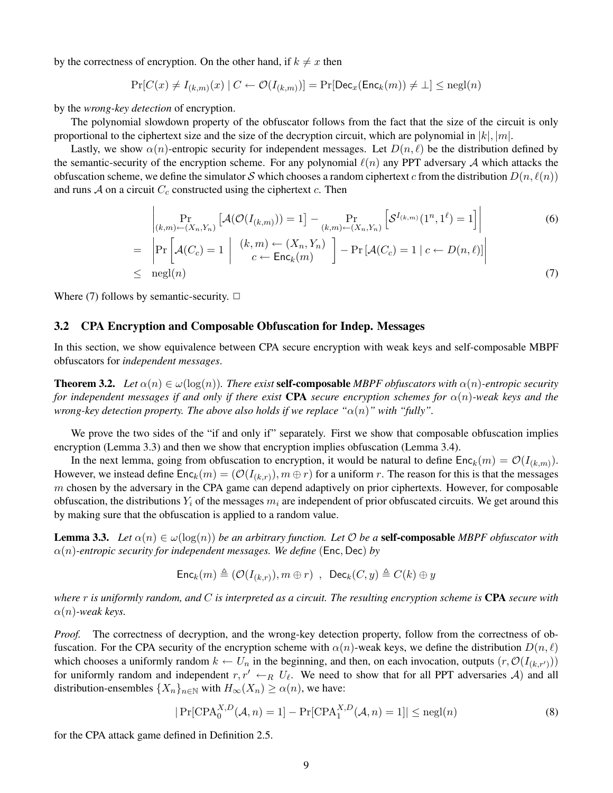by the correctness of encryption. On the other hand, if  $k \neq x$  then

$$
\Pr[C(x) \neq I_{(k,m)}(x) \mid C \leftarrow \mathcal{O}(I_{(k,m)})] = \Pr[\mathsf{Dec}_x(\mathsf{Enc}_k(m)) \neq \bot] \leq \text{negl}(n)
$$

by the *wrong-key detection* of encryption.

The polynomial slowdown property of the obfuscator follows from the fact that the size of the circuit is only proportional to the ciphertext size and the size of the decryption circuit, which are polynomial in  $|k|, |m|$ .

Lastly, we show  $\alpha(n)$ -entropic security for independent messages. Let  $D(n, \ell)$  be the distribution defined by the semantic-security of the encryption scheme. For any polynomial  $\ell(n)$  any PPT adversary A which attacks the obfuscation scheme, we define the simulator S which chooses a random ciphertext c from the distribution  $D(n, \ell(n))$ and runs  $A$  on a circuit  $C_c$  constructed using the ciphertext  $c$ . Then

$$
\begin{aligned}\n\left| \Pr_{(k,m)\leftarrow(X_n,Y_n)}\left[\mathcal{A}(\mathcal{O}(I_{(k,m)}))=1\right] - \Pr_{(k,m)\leftarrow(X_n,Y_n)}\left[\mathcal{S}^{I_{(k,m)}}(1^n,1^\ell)=1\right]\right| \\
= \left|\Pr\left[\mathcal{A}(C_c)=1 \mid (k,m)\leftarrow(X_n,Y_n) \atop c\leftarrow \mathsf{Enc}_k(m)\right]\right| - \Pr\left[\mathcal{A}(C_c)=1 \mid c\leftarrow D(n,\ell)\right]\right| \\
\leq \operatorname{negl}(n)\n\end{aligned}\n\tag{7}
$$

Where (7) follows by semantic-security.  $\Box$ 

#### 3.2 CPA Encryption and Composable Obfuscation for Indep. Messages

In this section, we show equivalence between CPA secure encryption with weak keys and self-composable MBPF obfuscators for *independent messages*.

**Theorem 3.2.** Let  $\alpha(n) \in \omega(\log(n))$ . There exist **self-composable** MBPF obfuscators with  $\alpha(n)$ -entropic security *for independent messages if and only if there exist* CPA *secure encryption schemes for*  $\alpha(n)$ *-weak keys and the wrong-key detection property. The above also holds if we replace "* $\alpha(n)$ " with "fully".

We prove the two sides of the "if and only if" separately. First we show that composable obfuscation implies encryption (Lemma 3.3) and then we show that encryption implies obfuscation (Lemma 3.4).

In the next lemma, going from obfuscation to encryption, it would be natural to define  $Enc_k(m) = O(I_{(k,m)})$ . However, we instead define  $Enc_k(m) = (O(I_{(k,r)})$ ,  $m \oplus r)$  for a uniform r. The reason for this is that the messages m chosen by the adversary in the CPA game can depend adaptively on prior ciphertexts. However, for composable obfuscation, the distributions  $Y_i$  of the messages  $m_i$  are independent of prior obfuscated circuits. We get around this by making sure that the obfuscation is applied to a random value.

**Lemma 3.3.** Let  $\alpha(n) \in \omega(\log(n))$  be an arbitrary function. Let  $\mathcal O$  be a **self-composable** MBPF obfuscator with α(n)*-entropic security for independent messages. We define* (Enc, Dec) *by*

$$
\mathsf{Enc}_k(m) \triangleq (\mathcal{O}(I_{(k,r)}), m \oplus r) , \ \mathsf{Dec}_k(C, y) \triangleq C(k) \oplus y
$$

*where* r *is uniformly random, and* C *is interpreted as a circuit. The resulting encryption scheme is* CPA *secure with*  $\alpha(n)$ -weak keys.

*Proof.* The correctness of decryption, and the wrong-key detection property, follow from the correctness of obfuscation. For the CPA security of the encryption scheme with  $\alpha(n)$ -weak keys, we define the distribution  $D(n, \ell)$ which chooses a uniformly random  $k \leftarrow U_n$  in the beginning, and then, on each invocation, outputs  $(r, \mathcal{O}(I_{(k,r')}))$ for uniformly random and independent  $r, r' \leftarrow_R U_\ell$ . We need to show that for all PPT adversaries A) and all distribution-ensembles  $\{X_n\}_{n\in\mathbb{N}}$  with  $H_{\infty}(X_n) \geq \alpha(n)$ , we have:

$$
|\Pr[\text{CPA}_0^{X,D}(\mathcal{A}, n) = 1] - \Pr[\text{CPA}_1^{X,D}(\mathcal{A}, n) = 1]| \le \text{negl}(n)
$$
\n(8)

for the CPA attack game defined in Definition 2.5.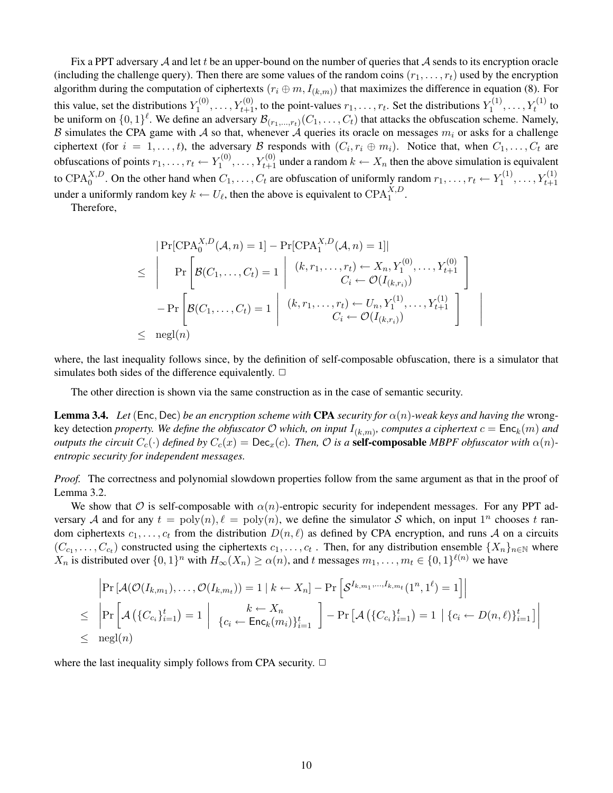Fix a PPT adversary A and let t be an upper-bound on the number of queries that A sends to its encryption oracle (including the challenge query). Then there are some values of the random coins  $(r_1, \ldots, r_t)$  used by the encryption algorithm during the computation of ciphertexts  $(r_i \oplus m, I_{(k,m)})$  that maximizes the difference in equation (8). For this value, set the distributions  $Y_1^{(0)}$  $Y_1^{(0)}, \ldots, Y_{t+1}^{(0)}$ , to the point-values  $r_1, \ldots, r_t$ . Set the distributions  $Y_1^{(1)}$  $Y_1^{(1)}, \ldots, Y_t^{(1)}$  to be uniform on  $\{0,1\}^{\ell}$ . We define an adversary  $\mathcal{B}_{(r_1,...,r_t)}(C_1,...,C_t)$  that attacks the obfuscation scheme. Namely, B simulates the CPA game with A so that, whenever A queries its oracle on messages  $m_i$  or asks for a challenge ciphertext (for  $i = 1, \ldots, t$ ), the adversary B responds with  $(C_i, r_i \oplus m_i)$ . Notice that, when  $C_1, \ldots, C_t$  are obfuscations of points  $r_1, \ldots, r_t \leftarrow Y_1^{(0)}$  $Y_1^{(0)}, \ldots, Y_{t+1}^{(0)}$  under a random  $k \leftarrow X_n$  then the above simulation is equivalent to CPA $_0^{X,D}$ . On the other hand when  $C_1, \ldots, C_t$  are obfuscation of uniformly random  $r_1, \ldots, r_t \leftarrow Y_1^{(1)}$  $Y_1^{(1)}, \ldots, Y_{t+1}^{(1)}$ under a uniformly random key  $k \leftarrow U_{\ell}$ , then the above is equivalent to  $\text{CPA}_{1}^{X,D}$ .

Therefore,

$$
\begin{aligned}\n&|\Pr[\text{CPA}_{0}^{X,D}(\mathcal{A}, n) = 1] - \Pr[\text{CPA}_{1}^{X,D}(\mathcal{A}, n) = 1]| \\
&\leq \left| \Pr\left[\mathcal{B}(C_{1}, \ldots, C_{t}) = 1 \mid \begin{array}{c} (k, r_{1}, \ldots, r_{t}) \leftarrow X_{n}, Y_{1}^{(0)}, \ldots, Y_{t+1}^{(0)}\\ C_{i} \leftarrow \mathcal{O}(I_{(k, r_{i})}) \end{array} \right] \right. \\
& - \Pr\left[\mathcal{B}(C_{1}, \ldots, C_{t}) = 1 \mid \begin{array}{c} (k, r_{1}, \ldots, r_{t}) \leftarrow U_{n}, Y_{1}^{(1)}, \ldots, Y_{t+1}^{(1)}\\ C_{i} \leftarrow \mathcal{O}(I_{(k, r_{i})}) \end{array} \right] \right] \\
&\leq \text{negl}(n)\n\end{aligned}
$$

 $\overline{\phantom{a}}$ I I  $\mid$ 

where, the last inequality follows since, by the definition of self-composable obfuscation, there is a simulator that simulates both sides of the difference equivalently.  $\Box$ 

The other direction is shown via the same construction as in the case of semantic security.

**Lemma 3.4.** *Let* (Enc, Dec) *be an encryption scheme with* CPA *security for*  $\alpha(n)$ *-weak keys and having the* wrongkey detection *property. We define the obfuscator O which, on input*  $I_{(k,m)}$ *, computes a ciphertext*  $c = \textsf{Enc}_k(m)$  and *outputs the circuit*  $C_c(\cdot)$  *defined by*  $C_c(x) = \text{Dec}_x(c)$ *. Then,*  $\emptyset$  *is a* **self-composable** *MBPF obfuscator with*  $\alpha(n)$ *entropic security for independent messages.*

*Proof.* The correctness and polynomial slowdown properties follow from the same argument as that in the proof of Lemma 3.2.

We show that  $\mathcal O$  is self-composable with  $\alpha(n)$ -entropic security for independent messages. For any PPT adversary A and for any  $t = \text{poly}(n)$ ,  $\ell = \text{poly}(n)$ , we define the simulator S which, on input  $1^n$  chooses t random ciphertexts  $c_1, \ldots, c_t$  from the distribution  $D(n, \ell)$  as defined by CPA encryption, and runs A on a circuits  $(C_{c_1},\ldots,C_{c_t})$  constructed using the ciphertexts  $c_1,\ldots,c_t$ . Then, for any distribution ensemble  $\{X_n\}_{n\in\mathbb{N}}$  where  $X_n$  is distributed over  $\{0,1\}^n$  with  $H_\infty(X_n) \ge \alpha(n)$ , and t messages  $m_1, \ldots, m_t \in \{0,1\}^{\ell(n)}$  we have

$$
\Pr\left[\mathcal{A}(\mathcal{O}(I_{k,m_1}),\ldots,\mathcal{O}(I_{k,m_t}))=1 \mid k \leftarrow X_n\right] - \Pr\left[\mathcal{S}^{I_{k,m_1},\ldots,I_{k,m_t}}(1^n,1^\ell)=1\right] \\
\leq \left|\Pr\left[\mathcal{A}\left(\{C_{c_i}\}_{i=1}^t\right)=1 \mid \begin{cases} k \leftarrow X_n \\ \{c_i \leftarrow \mathsf{Enc}_k(m_i)\}_{i=1}^t\end{cases}\right] - \Pr\left[\mathcal{A}\left(\{C_{c_i}\}_{i=1}^t\right)=1 \mid \{c_i \leftarrow D(n,\ell)\}_{i=1}^t\right]\right| \\
\leq \text{negl}(n)
$$

where the last inequality simply follows from CPA security.  $\Box$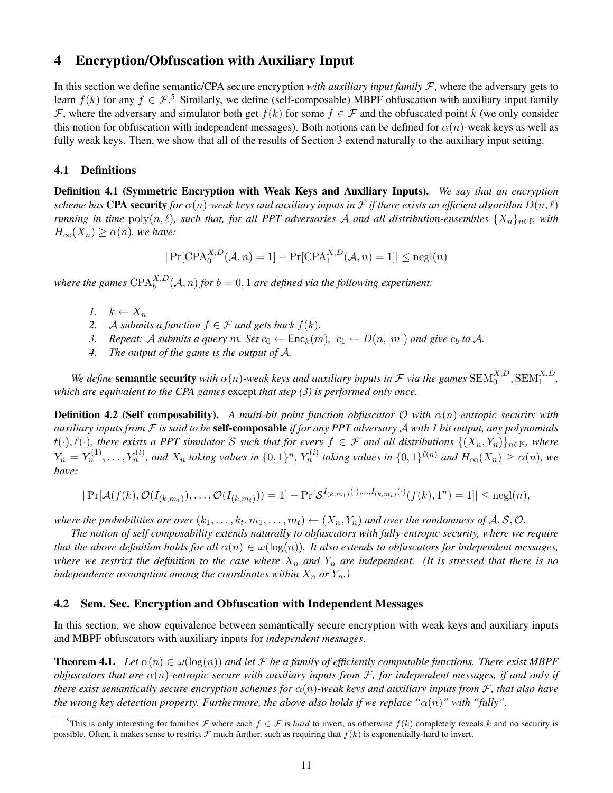## 4 Encryption/Obfuscation with Auxiliary Input

In this section we define semantic/CPA secure encryption *with auxiliary input family* F, where the adversary gets to learn  $f(k)$  for any  $f \in \mathcal{F}$ .<sup>5</sup> Similarly, we define (self-composable) MBPF obfuscation with auxiliary input family F, where the adversary and simulator both get  $f(k)$  for some  $f \in \mathcal{F}$  and the obfuscated point k (we only consider this notion for obfuscation with independent messages). Both notions can be defined for  $\alpha(n)$ -weak keys as well as fully weak keys. Then, we show that all of the results of Section 3 extend naturally to the auxiliary input setting.

#### 4.1 Definitions

Definition 4.1 (Symmetric Encryption with Weak Keys and Auxiliary Inputs). *We say that an encryption scheme has* CPA security for  $\alpha(n)$ -weak keys and auxiliary inputs in F if there exists an efficient algorithm  $D(n, \ell)$ *running in time*  $poly(n, \ell)$ *, such that, for all PPT adversaries* A *and all distribution-ensembles*  $\{X_n\}_{n\in\mathbb{N}}$  *with*  $H_{\infty}(X_n) \geq \alpha(n)$ , we have:

$$
|\Pr[\text{CPA}_0^{X,D}(\mathcal{A},n) = 1] - \Pr[\text{CPA}_1^{X,D}(\mathcal{A},n) = 1]| \le \text{negl}(n)
$$

where the games  $\text{CPA}_{b}^{X,D}(\mathcal{A}, n)$  *for*  $b = 0, 1$  are defined via the following experiment:

- 1.  $k \leftarrow X_n$
- *2. A submits a function*  $f \in \mathcal{F}$  *and gets back*  $f(k)$ *.*
- *3.* Repeat: A submits a query m. Set  $c_0 \leftarrow \text{Enc}_k(m)$ ,  $c_1 \leftarrow D(n, |m|)$  and give  $c_b$  to A.
- *4. The output of the game is the output of* A*.*

*We define* **semantic security** with  $\alpha(n)$ -weak keys and auxiliary inputs in  $\mathcal F$  via the games  $\text{SEM}_0^{X,D}, \text{SEM}_1^{X,D}$ , *which are equivalent to the CPA games* except *that step (3) is performed only once.*

Definition 4.2 (Self composability). *A multi-bit point function obfuscator* O *with* α(n)*-entropic security with auxiliary inputs from* F *is said to be* self-composable *if for any PPT adversary* A *with 1 bit output, any polynomials*  $t(\cdot), \ell(\cdot)$ , there exists a PPT simulator S such that for every  $f \in \mathcal{F}$  and all distributions  $\{(X_n, Y_n)\}_{n\in\mathbb{N}}$ , where  $Y_n = Y_n^{(1)}, \ldots, Y_n^{(t)}$ , and  $X_n$  taking values in  $\{0,1\}^n$ ,  $Y_n^{(i)}$  taking values in  $\{0,1\}^{\ell(n)}$  and  $H_\infty(X_n) \ge \alpha(n)$ , we *have:*

$$
|\Pr[\mathcal{A}(f(k), \mathcal{O}(I_{(k,m_1)}), \dots, \mathcal{O}(I_{(k,m_t)})) = 1] - \Pr[\mathcal{S}^{I_{(k,m_1)}(\cdot), \dots, I_{(k,m_t)}(\cdot)}(f(k), 1^n) = 1]| \leq \text{negl}(n),
$$

where the probabilities are over  $(k_1, \ldots, k_t, m_1, \ldots, m_t) \leftarrow (X_n, Y_n)$  and over the randomness of  $A, S, O$ .

*The notion of self composability extends naturally to obfuscators with fully-entropic security, where we require that the above definition holds for all*  $\alpha(n) \in \omega(\log(n))$ *. It also extends to obfuscators for independent messages, where we restrict the definition to the case where*  $X_n$  *and*  $Y_n$  *are independent. (It is stressed that there is no independence assumption among the coordinates within*  $X_n$  *or*  $Y_n$ *.*)

#### 4.2 Sem. Sec. Encryption and Obfuscation with Independent Messages

In this section, we show equivalence between semantically secure encryption with weak keys and auxiliary inputs and MBPF obfuscators with auxiliary inputs for *independent messages*.

**Theorem 4.1.** *Let*  $\alpha(n) \in \omega(\log(n))$  *and let* F *be a family of efficiently computable functions. There exist MBPF obfuscators that are*  $\alpha(n)$ -entropic secure with auxiliary inputs from F, for independent messages, if and only if *there exist semantically secure encryption schemes for*  $\alpha(n)$ *-weak keys and auxiliary inputs from*  $\mathcal F$ *, that also have the wrong key detection property. Furthermore, the above also holds if we replace "* $\alpha(n)$ " with "fully".

<sup>&</sup>lt;sup>5</sup>This is only interesting for families F where each  $f \in \mathcal{F}$  is *hard* to invert, as otherwise  $f(k)$  completely reveals k and no security is possible. Often, it makes sense to restrict  $\mathcal F$  much further, such as requiring that  $f(k)$  is exponentially-hard to invert.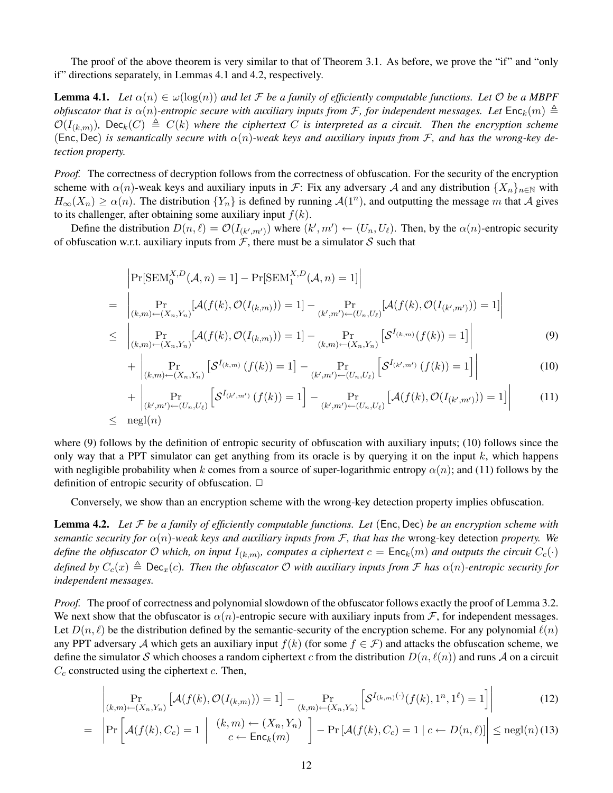The proof of the above theorem is very similar to that of Theorem 3.1. As before, we prove the "if" and "only if" directions separately, in Lemmas 4.1 and 4.2, respectively.

**Lemma 4.1.** *Let*  $\alpha(n) \in \omega(\log(n))$  *and let* F *be a family of efficiently computable functions. Let* O *be a MBPF obfuscator that is*  $\alpha(n)$ -entropic secure with auxiliary inputs from F, for independent messages. Let  $Enc_k(m) \triangleq$  $\mathcal{O}(I_{(k,m)})$ , Dec<sub>k</sub> $(C) \triangleq C(k)$  where the ciphertext  $C$  is interpreted as a circuit. Then the encryption scheme (Enc, Dec) *is semantically secure with*  $\alpha(n)$ -weak keys and auxiliary inputs from F, and has the wrong-key de*tection property.*

*Proof.* The correctness of decryption follows from the correctness of obfuscation. For the security of the encryption scheme with  $\alpha(n)$ -weak keys and auxiliary inputs in F: Fix any adversary A and any distribution  $\{X_n\}_{n\in\mathbb{N}}$  with  $H_{\infty}(X_n) \ge \alpha(n)$ . The distribution  $\{Y_n\}$  is defined by running  $\mathcal{A}(1^n)$ , and outputting the message m that A gives to its challenger, after obtaining some auxiliary input  $f(k)$ .

Define the distribution  $D(n,\ell) = \mathcal{O}(I_{(k',m')})$  where  $(k',m') \leftarrow (U_n, U_\ell)$ . Then, by the  $\alpha(n)$ -entropic security of obfuscation w.r.t. auxiliary inputs from  $F$ , there must be a simulator  $S$  such that

$$
\Pr[\text{SEM}_0^{X,D}(\mathcal{A}, n) = 1] - \Pr[\text{SEM}_1^{X,D}(\mathcal{A}, n) = 1] \Big|
$$
\n
$$
= \left| \Pr_{(k,m) \leftarrow (X_n, Y_n)}[\mathcal{A}(f(k), \mathcal{O}(I_{(k,m)})) = 1] - \Pr_{(k',m') \leftarrow (U_n, U_\ell)}[\mathcal{A}(f(k), \mathcal{O}(I_{(k',m'}))) = 1] \right| \right|
$$
\n
$$
< \left| \Pr_{(k',m') \leftarrow (X_n, U_\ell)}[\mathcal{A}(f(k), \mathcal{O}(I_{(k,m)}))) = 1] - \Pr_{(k',m') \leftarrow (U_\ell, U_\ell)}[\mathcal{S}^{I_{(k,m)}}(f(k)) = 1] \right| \right|
$$
\n(9)

$$
\leq \left| \Pr_{(k,m)\leftarrow (X_n, Y_n)}[\mathcal{A}(f(k), \mathcal{O}(I_{(k,m)})) = 1] - \Pr_{(k,m)\leftarrow (X_n, Y_n)}[\mathcal{S}^{I_{(k,m)}}(f(k)) = 1] \right| \right| \tag{9}
$$

$$
+\left|\Pr_{(k,m)\leftarrow(X_n,Y_n)}\left[\mathcal{S}^{I_{(k,m)}}\left(f(k)\right)=1\right]-\Pr_{(k',m')\leftarrow(U_n,U_\ell)}\left[\mathcal{S}^{I_{(k',m')}}\left(f(k)\right)=1\right]\right|\right.\tag{10}
$$

$$
+\left|\Pr_{(k',m')\leftarrow (U_n,U_\ell)}\left[\mathcal{S}^{I_{(k',m')}}\left(f(k)\right)=1\right]-\Pr_{(k',m')\leftarrow (U_n,U_\ell)}\left[\mathcal{A}(f(k),\mathcal{O}(I_{(k',m')}))=1\right]\right|\right|
$$
(11)  

$$
\leq \text{negl}(n)
$$

where (9) follows by the definition of entropic security of obfuscation with auxiliary inputs; (10) follows since the only way that a PPT simulator can get anything from its oracle is by querying it on the input  $k$ , which happens with negligible probability when k comes from a source of super-logarithmic entropy  $\alpha(n)$ ; and (11) follows by the definition of entropic security of obfuscation.  $\Box$ 

Conversely, we show than an encryption scheme with the wrong-key detection property implies obfuscation.

Lemma 4.2. *Let* F *be a family of efficiently computable functions. Let* (Enc, Dec) *be an encryption scheme with semantic security for*  $\alpha(n)$ *-weak keys and auxiliary inputs from*  $\mathcal{F}$ *, that has the* wrong-key detection *property.* We define the obfuscator  $O$  which, on input  $I_{(k,m)}$ , computes a ciphertext  $c = \textsf{Enc}_k(m)$  and outputs the circuit  $C_c(\cdot)$ *defined by*  $C_c(x) \triangleq \text{Dec}_x(c)$ *. Then the obfuscator*  $\mathcal O$  *with auxiliary inputs from*  $\mathcal F$  *has*  $\alpha(n)$ *-entropic security for independent messages.*

*Proof.* The proof of correctness and polynomial slowdown of the obfuscator follows exactly the proof of Lemma 3.2. We next show that the obfuscator is  $\alpha(n)$ -entropic secure with auxiliary inputs from  $\mathcal F$ , for independent messages. Let  $D(n, \ell)$  be the distribution defined by the semantic-security of the encryption scheme. For any polynomial  $\ell(n)$ any PPT adversary A which gets an auxiliary input  $f(k)$  (for some  $f \in \mathcal{F}$ ) and attacks the obfuscation scheme, we define the simulator S which chooses a random ciphertext c from the distribution  $D(n, \ell(n))$  and runs A on a circuit  $C_c$  constructed using the ciphertext  $c$ . Then,

$$
\left| \Pr_{(k,m)\leftarrow(X_n,Y_n)}\left[\mathcal{A}(f(k),\mathcal{O}(I_{(k,m)}))=1\right] - \Pr_{(k,m)\leftarrow(X_n,Y_n)}\left[\mathcal{S}^{I_{(k,m)}(\cdot)}(f(k),1^n,1^\ell)=1\right]\right| \tag{12}
$$

$$
= \left| \Pr\left[ \mathcal{A}(f(k), C_c) = 1 \mid \begin{array}{c} (k, m) \leftarrow (X_n, Y_n) \\ c \leftarrow \mathsf{Enc}_k(m) \end{array} \right] - \Pr\left[ \mathcal{A}(f(k), C_c) = 1 \mid c \leftarrow D(n, \ell) \right] \right| \leq \operatorname{negl}(n) \cdot (13)
$$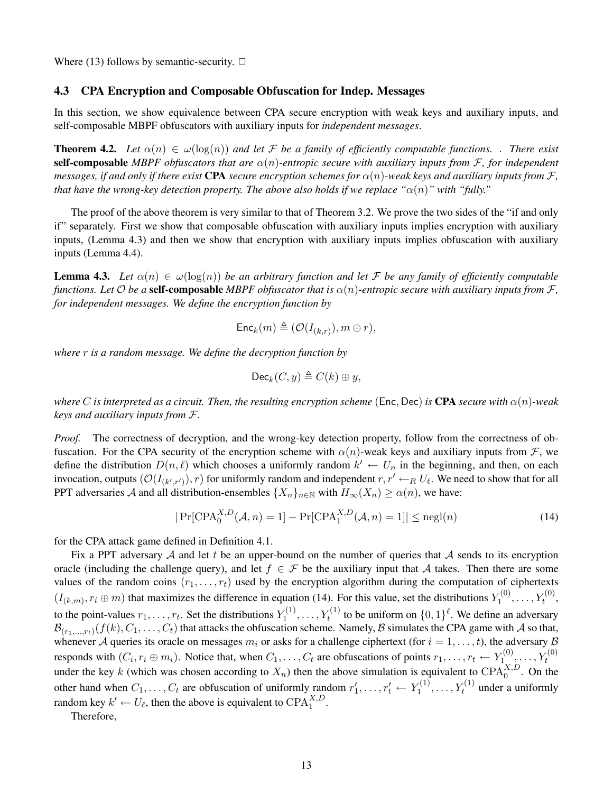Where (13) follows by semantic-security.  $\Box$ 

#### 4.3 CPA Encryption and Composable Obfuscation for Indep. Messages

In this section, we show equivalence between CPA secure encryption with weak keys and auxiliary inputs, and self-composable MBPF obfuscators with auxiliary inputs for *independent messages*.

**Theorem 4.2.** *Let*  $\alpha(n) \in \omega(\log(n))$  *and let* F *be a family of efficiently computable functions. . There exist* self-composable *MBPF obfuscators that are*  $\alpha(n)$ -entropic secure with auxiliary inputs from  $\mathcal{F}$ , for independent *messages, if and only if there exist* CPA *secure encryption schemes for*  $\alpha(n)$ -weak keys and auxiliary inputs from F, *that have the wrong-key detection property. The above also holds if we replace "* $\alpha(n)$ *" with "fully."* 

The proof of the above theorem is very similar to that of Theorem 3.2. We prove the two sides of the "if and only if" separately. First we show that composable obfuscation with auxiliary inputs implies encryption with auxiliary inputs, (Lemma 4.3) and then we show that encryption with auxiliary inputs implies obfuscation with auxiliary inputs (Lemma 4.4).

**Lemma 4.3.** Let  $\alpha(n) \in \omega(\log(n))$  be an arbitrary function and let F be any family of efficiently computable *functions. Let*  $\mathcal O$  *be a* **self-composable** *MBPF obfuscator that is*  $\alpha(n)$ -entropic secure with auxiliary inputs from  $\mathcal F$ , *for independent messages. We define the encryption function by*

$$
\mathsf{Enc}_k(m) \triangleq (\mathcal{O}(I_{(k,r)}), m \oplus r),
$$

*where* r *is a random message. We define the decryption function by*

$$
\mathsf{Dec}_k(C, y) \triangleq C(k) \oplus y,
$$

*where* C is interpreted as a circuit. Then, the resulting encryption scheme (Enc, Dec) is **CPA** *secure with*  $\alpha(n)$ *-weak keys and auxiliary inputs from* F*.*

*Proof.* The correctness of decryption, and the wrong-key detection property, follow from the correctness of obfuscation. For the CPA security of the encryption scheme with  $\alpha(n)$ -weak keys and auxiliary inputs from F, we define the distribution  $D(n, \ell)$  which chooses a uniformly random  $k' \leftarrow U_n$  in the beginning, and then, on each invocation, outputs  $(\mathcal{O}(I_{(k',r')}), r)$  for uniformly random and independent  $r, r' \leftarrow_R U_\ell$ . We need to show that for all PPT adversaries A and all distribution-ensembles  $\{X_n\}_{n\in\mathbb{N}}$  with  $H_\infty(X_n) \ge \alpha(n)$ , we have:

$$
|\Pr[\text{CPA}_{0}^{X,D}(\mathcal{A}, n) = 1] - \Pr[\text{CPA}_{1}^{X,D}(\mathcal{A}, n) = 1]| \leq \text{negl}(n)
$$
\n(14)

for the CPA attack game defined in Definition 4.1.

Fix a PPT adversary  $A$  and let t be an upper-bound on the number of queries that  $A$  sends to its encryption oracle (including the challenge query), and let  $f \in \mathcal{F}$  be the auxiliary input that A takes. Then there are some values of the random coins  $(r_1, \ldots, r_t)$  used by the encryption algorithm during the computation of ciphertexts  $(I_{(k,m)}, r_i \oplus m)$  that maximizes the difference in equation (14). For this value, set the distributions  $Y_1^{(0)}$  $Y_1^{(0)}, \ldots, Y_t^{(0)},$ to the point-values  $r_1, \ldots, r_t$ . Set the distributions  $Y_1^{(1)}$  $Y_1^{(1)}, \ldots, Y_t^{(1)}$  to be uniform on  $\{0,1\}^{\ell}$ . We define an adversary  $\mathcal{B}_{(r_1,...,r_t)}(f(k),C_1,\ldots,C_t)$  that attacks the obfuscation scheme. Namely,  $\cal B$  simulates the CPA game with  $\cal A$  so that, whenever A queries its oracle on messages  $m_i$  or asks for a challenge ciphertext (for  $i = 1, \ldots, t$ ), the adversary B responds with  $(C_i, r_i \oplus m_i)$ . Notice that, when  $C_1, \ldots, C_t$  are obfuscations of points  $r_1, \ldots, r_t \leftarrow Y_1^{(0)}$ responds with  $(C_i, r_i \oplus m_i)$ . Notice that, when  $C_1, \ldots, C_t$  are obfuscations of points  $r_1, \ldots, r_t \leftarrow Y_1^{(0)}, \ldots, Y_t^{(0)}$ <br>under the key k (which was chosen according to  $X_n$ ) then the above simulation is equivalent to  $CPA_0$ other hand when  $C_1, \ldots, C_t$  are obfuscation of uniformly random  $r'_1, \ldots, r'_t \leftarrow Y_1^{(1)}$  $Y_1^{(1)}, \ldots, Y_t^{(1)}$  under a uniformly random key  $k' \leftarrow U_{\ell}$ , then the above is equivalent to  $\text{CPA}_{1}^{X,D}$ .

Therefore,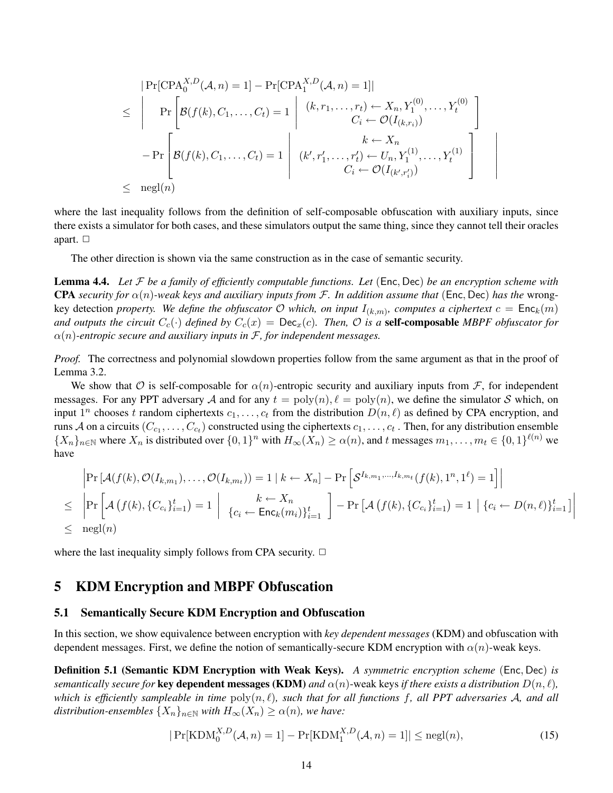$$
\Pr[\text{CPA}_{0}^{X,D}(\mathcal{A}, n) = 1] - \Pr[\text{CPA}_{1}^{X,D}(\mathcal{A}, n) = 1] |
$$
\n
$$
\leq \left| \Pr \left[ \mathcal{B}(f(k), C_{1}, \dots, C_{t}) = 1 \mid (k, r_{1}, \dots, r_{t}) \leftarrow X_{n}, Y_{1}^{(0)}, \dots, Y_{t}^{(0)} \right] \right]
$$
\n
$$
- \Pr \left[ \mathcal{B}(f(k), C_{1}, \dots, C_{t}) = 1 \mid (k', r'_{1}, \dots, r'_{t}) \leftarrow U_{n}, Y_{1}^{(1)}, \dots, Y_{t}^{(1)} \right] \right]
$$
\n
$$
\leq \text{negl}(n)
$$

 $\overline{\phantom{a}}$ I  $\overline{\phantom{a}}$ I  $\overline{\phantom{a}}$ I  $\mid$ 

where the last inequality follows from the definition of self-composable obfuscation with auxiliary inputs, since there exists a simulator for both cases, and these simulators output the same thing, since they cannot tell their oracles apart.  $\Box$ 

The other direction is shown via the same construction as in the case of semantic security.

Lemma 4.4. *Let* F *be a family of efficiently computable functions. Let* (Enc, Dec) *be an encryption scheme with* **CPA** *security for*  $\alpha(n)$ *-weak keys and auxiliary inputs from* F. In addition assume that (Enc, Dec) has the wrongkey detection *property.* We define the obfuscator  $O$  which, on input  $I_{(k,m)}$ , computes a ciphertext  $c = \mathsf{Enc}_k(m)$ *and outputs the circuit*  $C_c(\cdot)$  *defined by*  $C_c(x) = Dec_x(c)$ *. Then,*  $\mathcal O$  *is a* **self-composable** *MBPF obfuscator for* α(n)*-entropic secure and auxiliary inputs in* F*, for independent messages.*

*Proof.* The correctness and polynomial slowdown properties follow from the same argument as that in the proof of Lemma 3.2.

We show that O is self-composable for  $\alpha(n)$ -entropic security and auxiliary inputs from F, for independent messages. For any PPT adversary A and for any  $t = \text{poly}(n), \ell = \text{poly}(n)$ , we define the simulator S which, on input  $1^n$  chooses t random ciphertexts  $c_1, \ldots, c_t$  from the distribution  $D(n, \ell)$  as defined by CPA encryption, and runs A on a circuits  $(C_{c_1}, \ldots, C_{c_t})$  constructed using the ciphertexts  $c_1, \ldots, c_t$  . Then, for any distribution ensemble  $\{X_n\}_{n\in\mathbb{N}}$  where  $X_n$  is distributed over  $\{0,1\}^n$  with  $H_\infty(X_n) \ge \alpha(n)$ , and t messages  $m_1,\ldots,m_t \in \{0,1\}^{\ell(n)}$  we have

$$
\begin{aligned}\n\left| \Pr\left[ \mathcal{A}(f(k), \mathcal{O}(I_{k,m_1}), \dots, \mathcal{O}(I_{k,m_t})) = 1 \mid k \leftarrow X_n \right] - \Pr\left[ \mathcal{S}^{I_{k,m_1}, \dots, I_{k,m_t}}(f(k), 1^n, 1^\ell) = 1 \right] \right| \\
&\leq \left| \Pr\left[ \mathcal{A}\left(f(k), \{C_{c_i}\}_{i=1}^t\right) = 1 \mid \{c_i \leftarrow \mathsf{Enc}_k(m_i)\}_{i=1}^t \right] - \Pr\left[ \mathcal{A}\left(f(k), \{C_{c_i}\}_{i=1}^t\right) = 1 \mid \{c_i \leftarrow D(n, \ell)\}_{i=1}^t \right] \right| \\
&\leq \left| \operatorname{negl}(n) \right]\n\end{aligned}
$$

where the last inequality simply follows from CPA security.  $\Box$ 

### 5 KDM Encryption and MBPF Obfuscation

#### 5.1 Semantically Secure KDM Encryption and Obfuscation

In this section, we show equivalence between encryption with *key dependent messages* (KDM) and obfuscation with dependent messages. First, we define the notion of semantically-secure KDM encryption with  $\alpha(n)$ -weak keys.

Definition 5.1 (Semantic KDM Encryption with Weak Keys). *A symmetric encryption scheme* (Enc, Dec) *is semantically secure for* key dependent messages (KDM) *and*  $\alpha(n)$ -weak keys *if there exists a distribution*  $D(n, \ell)$ *, which is efficiently sampleable in time*  $poly(n, \ell)$ *, such that for all functions* f, all PPT adversaries A, and all *distribution-ensembles*  $\{X_n\}_{n\in\mathbb{N}}$  *with*  $H_\infty(X_n) \geq \alpha(n)$ *, we have:* 

$$
|\Pr[\text{KDM}_{0}^{X,D}(\mathcal{A}, n) = 1] - \Pr[\text{KDM}_{1}^{X,D}(\mathcal{A}, n) = 1]| \le \text{negl}(n),\tag{15}
$$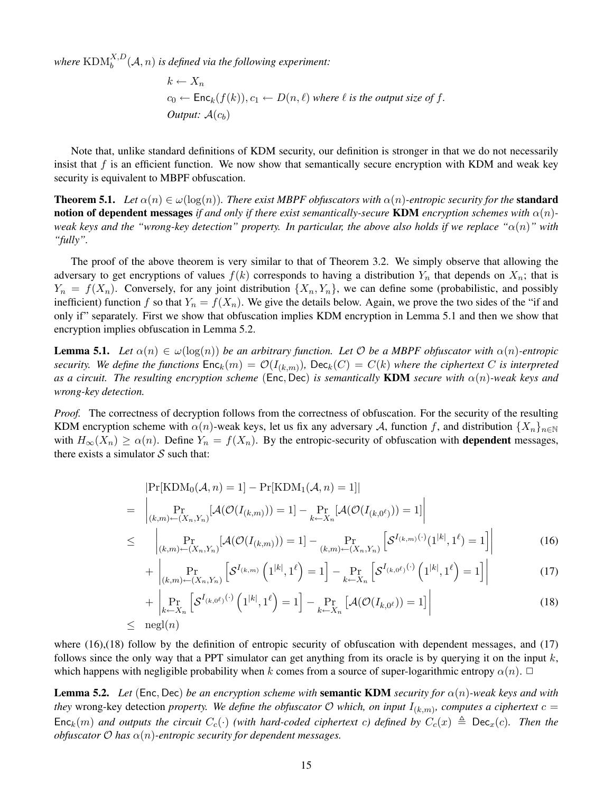where  $\text{KDM}_{b}^{X,D}(\mathcal{A}, n)$  is defined via the following experiment:

=

$$
k \leftarrow X_n
$$
  

$$
c_0 \leftarrow \text{Enc}_k(f(k)), c_1 \leftarrow D(n, \ell) \text{ where } \ell \text{ is the output size of } f.
$$
  
Output:  $A(c_b)$ 

Note that, unlike standard definitions of KDM security, our definition is stronger in that we do not necessarily insist that  $f$  is an efficient function. We now show that semantically secure encryption with KDM and weak key security is equivalent to MBPF obfuscation.

**Theorem 5.1.** *Let*  $\alpha(n) \in \omega(\log(n))$ *. There exist MBPF obfuscators with*  $\alpha(n)$ *-entropic security for the* **standard** notion of dependent messages *if and only if there exist semantically-secure* KDM *encryption schemes with*  $\alpha(n)$ *weak keys and the "wrong-key detection" property. In particular, the above also holds if we replace "* $\alpha(n)$ *" with "fully".*

The proof of the above theorem is very similar to that of Theorem 3.2. We simply observe that allowing the adversary to get encryptions of values  $f(k)$  corresponds to having a distribution  $Y_n$  that depends on  $X_n$ ; that is  $Y_n = f(X_n)$ . Conversely, for any joint distribution  $\{X_n, Y_n\}$ , we can define some (probabilistic, and possibly inefficient) function f so that  $Y_n = f(X_n)$ . We give the details below. Again, we prove the two sides of the "if and only if" separately. First we show that obfuscation implies KDM encryption in Lemma 5.1 and then we show that encryption implies obfuscation in Lemma 5.2.

**Lemma 5.1.** Let  $\alpha(n) \in \omega(\log(n))$  be an arbitrary function. Let O be a MBPF obfuscator with  $\alpha(n)$ -entropic *security. We define the functions*  $Enc_k(m) = \mathcal{O}(I_{(k,m)})$ ,  $Dec_k(C) = C(k)$  where the ciphertext C is interpreted *as a circuit. The resulting encryption scheme* (Enc, Dec) *is semantically* KDM *secure with* α(n)*-weak keys and wrong-key detection.*

*Proof.* The correctness of decryption follows from the correctness of obfuscation. For the security of the resulting KDM encryption scheme with  $\alpha(n)$ -weak keys, let us fix any adversary A, function f, and distribution  $\{X_n\}_{n\in\mathbb{N}}$ with  $H_{\infty}(X_n) \ge \alpha(n)$ . Define  $Y_n = f(X_n)$ . By the entropic-security of obfuscation with **dependent** messages, there exists a simulator  $S$  such that:

$$
Pr[KDM_0(\mathcal{A}, n) = 1] - Pr[KDM_1(\mathcal{A}, n) = 1]|
$$
  
= 
$$
\begin{vmatrix} Pr & \mathcal{A}(\mathcal{O}(I_{(k,m)})) = 1] - Pr & \mathcal{A}(\mathcal{O}(I_{(k,0^{\ell})})) = 1| \\ \mathcal{A}(\mathcal{O}(I_{(k,m)})) = 1 & \mathcal{A}(\mathcal{O}(I_{(k,0^{\ell})})) = 1| \end{vmatrix}
$$

$$
\leq \left| \Pr_{(k,m)\leftarrow (X_n, Y_n)}[\mathcal{A}(\mathcal{O}(I_{(k,m)})) = 1] - \Pr_{(k,m)\leftarrow (X_n, Y_n)}\left[\mathcal{S}^{I_{(k,m)}(\cdot)}(1^{|k|}, 1^{\ell}) = 1\right] \right| \tag{16}
$$

$$
+\left|\Pr_{(k,m)\leftarrow(X_n,Y_n)}\left[\mathcal{S}^{I_{(k,m)}}\left(1^{|k|},1^{\ell}\right)=1\right]-\Pr_{k\leftarrow X_n}\left[\mathcal{S}^{I_{(k,0^{\ell})}}\left(1^{|k|},1^{\ell}\right)=1\right]\right|\n\tag{17}
$$

$$
+\left|\Pr_{k\leftarrow X_n}\left[\mathcal{S}^{I_{(k,0^\ell)}}(\cdot)\left(1^{|k|},1^\ell\right)=1\right]-\Pr_{k\leftarrow X_n}\left[\mathcal{A}(\mathcal{O}(I_{k,0^\ell}))=1\right]\right|\right.
$$
\n
$$
\leq \text{negl}(n) \tag{18}
$$

where (16),(18) follow by the definition of entropic security of obfuscation with dependent messages, and (17) follows since the only way that a PPT simulator can get anything from its oracle is by querying it on the input  $k$ , which happens with negligible probability when k comes from a source of super-logarithmic entropy  $\alpha(n)$ .  $\Box$ 

**Lemma 5.2.** *Let* (Enc, Dec) *be an encryption scheme with* **semantic KDM** *security for*  $\alpha(n)$ -weak keys and with *they* wrong-key detection *property. We define the obfuscator*  $O$  *which, on input*  $I_{(k,m)}$ *, computes a ciphertext*  $c =$  $Enc_k(m)$  *and outputs the circuit*  $C_c(\cdot)$  *(with hard-coded ciphertext c) defined by*  $C_c(x) \triangleq Dec_x(c)$ *. Then the obfuscator*  $\mathcal O$  *has*  $\alpha(n)$ -entropic security for dependent messages.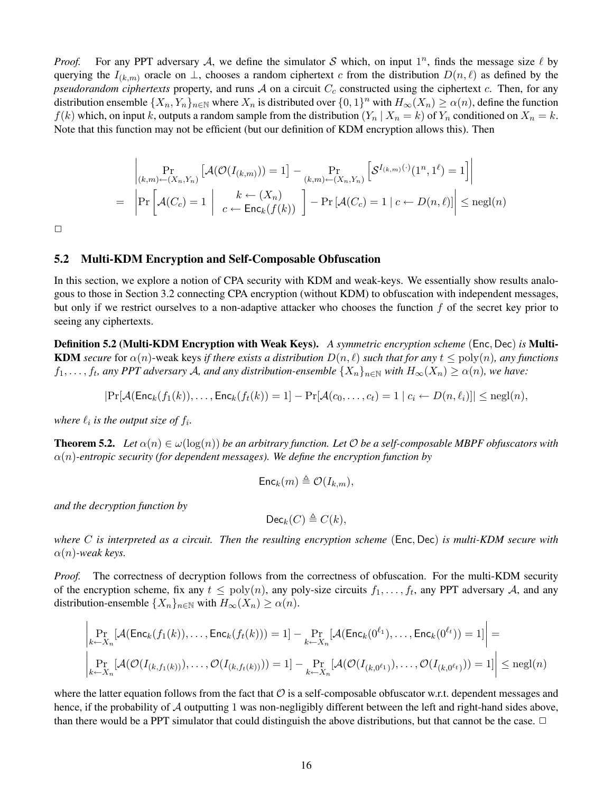*Proof.* For any PPT adversary A, we define the simulator S which, on input  $1^n$ , finds the message size  $\ell$  by querying the  $I_{(k,m)}$  oracle on  $\perp$ , chooses a random ciphertext c from the distribution  $D(n, \ell)$  as defined by the *pseudorandom ciphertexts* property, and runs  $A$  on a circuit  $C_c$  constructed using the ciphertext  $c$ . Then, for any distribution ensemble  $\{X_n, Y_n\}_{n\in\mathbb{N}}$  where  $X_n$  is distributed over  $\{0,1\}^n$  with  $H_\infty(X_n) \ge \alpha(n)$ , define the function  $f(k)$  which, on input k, outputs a random sample from the distribution  $(Y_n | X_n = k)$  of  $Y_n$  conditioned on  $X_n = k$ . Note that this function may not be efficient (but our definition of KDM encryption allows this). Then

$$
\begin{aligned}\n\left| \Pr_{(k,m)\leftarrow(X_n,Y_n)}\left[\mathcal{A}(\mathcal{O}(I_{(k,m)}))=1\right] - \Pr_{(k,m)\leftarrow(X_n,Y_n)}\left[\mathcal{S}^{I_{(k,m)}(\cdot)}(1^n,1^\ell)=1\right]\right| \\
= \left|\Pr\left[\mathcal{A}(C_c)=1 \mid c \leftarrow \text{Enc}_k(f(k))\right] - \Pr\left[\mathcal{A}(C_c)=1 \mid c \leftarrow D(n,\ell)\right]\right| \leq \text{negl}(n)\n\end{aligned}
$$

 $\Box$ 

#### 5.2 Multi-KDM Encryption and Self-Composable Obfuscation

In this section, we explore a notion of CPA security with KDM and weak-keys. We essentially show results analogous to those in Section 3.2 connecting CPA encryption (without KDM) to obfuscation with independent messages, but only if we restrict ourselves to a non-adaptive attacker who chooses the function  $f$  of the secret key prior to seeing any ciphertexts.

Definition 5.2 (Multi-KDM Encryption with Weak Keys). *A symmetric encryption scheme* (Enc, Dec) *is* Multi-**KDM** *secure* for  $\alpha(n)$ -weak keys *if there exists a distribution*  $D(n, \ell)$  *such that for any*  $t \leq poly(n)$ *, any functions*  $f_1, \ldots, f_t$ , any PPT adversary A, and any distribution-ensemble  $\{X_n\}_{n\in\mathbb{N}}$  with  $H_\infty(X_n) \ge \alpha(n)$ , we have:

$$
|\Pr[\mathcal{A}(\mathsf{Enc}_k(f_1(k)), \dots, \mathsf{Enc}_k(f_t(k)) = 1] - \Pr[\mathcal{A}(c_0, \dots, c_t) = 1 \mid c_i \leftarrow D(n, \ell_i)]| \leq \mathrm{negl}(n),
$$

*where*  $\ell_i$  *is the output size of*  $f_i$ *.* 

**Theorem 5.2.** Let  $\alpha(n) \in \omega(\log(n))$  be an arbitrary function. Let  $\mathcal O$  be a self-composable MBPF obfuscators with  $\alpha(n)$ -entropic security (for dependent messages). We define the encryption function by

$$
\mathsf{Enc}_k(m) \triangleq \mathcal{O}(I_{k,m}),
$$

*and the decryption function by*

$$
\mathsf{Dec}_k(C) \triangleq C(k),
$$

*where* C *is interpreted as a circuit. Then the resulting encryption scheme* (Enc, Dec) *is multi-KDM secure with*  $\alpha(n)$ -weak keys.

*Proof.* The correctness of decryption follows from the correctness of obfuscation. For the multi-KDM security of the encryption scheme, fix any  $t \leq poly(n)$ , any poly-size circuits  $f_1, \ldots, f_t$ , any PPT adversary A, and any distribution-ensemble  $\{X_n\}_{n\in\mathbb{N}}$  with  $H_{\infty}(X_n) \ge \alpha(n)$ .

$$
\left|\Pr_{k \leftarrow X_n}[\mathcal{A}(\mathsf{Enc}_k(f_1(k)), \dots, \mathsf{Enc}_k(f_t(k))) = 1] - \Pr_{k \leftarrow X_n}[\mathcal{A}(\mathsf{Enc}_k(0^{\ell_1}), \dots, \mathsf{Enc}_k(0^{\ell_t})) = 1]\right| =
$$
\n
$$
\left|\Pr_{k \leftarrow X_n}[\mathcal{A}(\mathcal{O}(I_{(k, f_1(k))}), \dots, \mathcal{O}(I_{(k, f_t(k))})) = 1] - \Pr_{k \leftarrow X_n}[\mathcal{A}(\mathcal{O}(I_{(k, 0^{\ell_1}})), \dots, \mathcal{O}(I_{(k, 0^{\ell_t})})) = 1]\right| \leq \text{negl}(n)
$$

where the latter equation follows from the fact that  $\mathcal O$  is a self-composable obfuscator w.r.t. dependent messages and hence, if the probability of A outputting 1 was non-negligibly different between the left and right-hand sides above, than there would be a PPT simulator that could distinguish the above distributions, but that cannot be the case.  $\Box$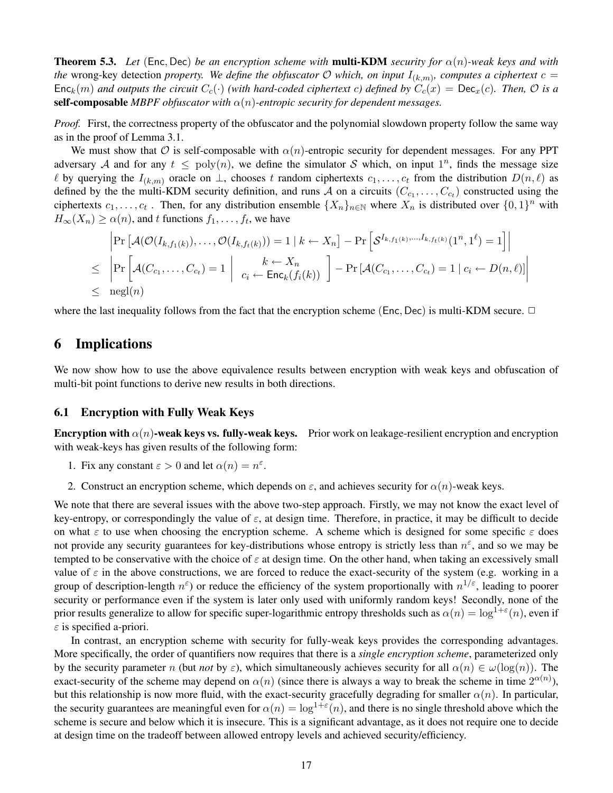**Theorem 5.3.** *Let* (Enc, Dec) *be an encryption scheme with* **multi-KDM** *security for*  $\alpha(n)$ *-weak keys and with the* wrong-key detection *property.* We define the obfuscator  $O$  which, on input  $I_{(k,m)}$ , computes a ciphertext  $c =$  $Enc_k(m)$  *and outputs the circuit*  $C_c(\cdot)$  *(with hard-coded ciphertext c) defined by*  $C_c(x) = Dec_x(c)$ *. Then,*  $\emptyset$  *is a* self-composable *MBPF obfuscator with*  $\alpha(n)$ -entropic security for dependent messages.

*Proof.* First, the correctness property of the obfuscator and the polynomial slowdown property follow the same way as in the proof of Lemma 3.1.

We must show that O is self-composable with  $\alpha(n)$ -entropic security for dependent messages. For any PPT adversary A and for any  $t \leq poly(n)$ , we define the simulator S which, on input  $1^n$ , finds the message size  $\ell$  by querying the  $I_{(k,m)}$  oracle on  $\bot$ , chooses t random ciphertexts  $c_1, \ldots, c_t$  from the distribution  $D(n, \ell)$  as defined by the the multi-KDM security definition, and runs A on a circuits  $(C_{c_1}, \ldots, C_{c_t})$  constructed using the ciphertexts  $c_1, \ldots, c_t$ . Then, for any distribution ensemble  $\{X_n\}_{n\in\mathbb{N}}$  where  $X_n$  is distributed over  $\{0,1\}^n$  with  $H_{\infty}(X_n) \ge \alpha(n)$ , and t functions  $f_1, \ldots, f_t$ , we have

$$
\begin{aligned}\n\left| \Pr\left[ \mathcal{A}(\mathcal{O}(I_{k,f_1(k)}), \dots, \mathcal{O}(I_{k,f_t(k)})) = 1 \mid k \leftarrow X_n \right] - \Pr\left[ \mathcal{S}^{I_{k,f_1(k)}, \dots, I_{k,f_t(k)}}(1^n, 1^\ell) = 1 \right] \right| \\
&\leq \left| \Pr\left[ \mathcal{A}(C_{c_1}, \dots, C_{c_t}) = 1 \mid c_i \leftarrow \text{Enc}_k(f_i(k)) \right] - \Pr\left[ \mathcal{A}(C_{c_1}, \dots, C_{c_t}) = 1 \mid c_i \leftarrow D(n, \ell) \right] \right| \\
&\leq \text{negl}(n)\n\end{aligned}
$$

where the last inequality follows from the fact that the encryption scheme (Enc, Dec) is multi-KDM secure.  $\Box$ 

### 6 Implications

We now show how to use the above equivalence results between encryption with weak keys and obfuscation of multi-bit point functions to derive new results in both directions.

#### 6.1 Encryption with Fully Weak Keys

**Encryption with**  $\alpha(n)$ -weak keys vs. fully-weak keys. Prior work on leakage-resilient encryption and encryption with weak-keys has given results of the following form:

- 1. Fix any constant  $\varepsilon > 0$  and let  $\alpha(n) = n^{\varepsilon}$ .
- 2. Construct an encryption scheme, which depends on  $\varepsilon$ , and achieves security for  $\alpha(n)$ -weak keys.

We note that there are several issues with the above two-step approach. Firstly, we may not know the exact level of key-entropy, or correspondingly the value of  $\varepsilon$ , at design time. Therefore, in practice, it may be difficult to decide on what  $\varepsilon$  to use when choosing the encryption scheme. A scheme which is designed for some specific  $\varepsilon$  does not provide any security guarantees for key-distributions whose entropy is strictly less than  $n^{\epsilon}$ , and so we may be tempted to be conservative with the choice of  $\varepsilon$  at design time. On the other hand, when taking an excessively small value of  $\varepsilon$  in the above constructions, we are forced to reduce the exact-security of the system (e.g. working in a group of description-length  $n^{\epsilon}$ ) or reduce the efficiency of the system proportionally with  $n^{1/\epsilon}$ , leading to poorer security or performance even if the system is later only used with uniformly random keys! Secondly, none of the prior results generalize to allow for specific super-logarithmic entropy thresholds such as  $\alpha(n) = \log^{1+\epsilon}(n)$ , even if  $\varepsilon$  is specified a-priori.

In contrast, an encryption scheme with security for fully-weak keys provides the corresponding advantages. More specifically, the order of quantifiers now requires that there is a *single encryption scheme*, parameterized only by the security parameter n (but *not* by  $\varepsilon$ ), which simultaneously achieves security for all  $\alpha(n) \in \omega(\log(n))$ . The exact-security of the scheme may depend on  $\alpha(n)$  (since there is always a way to break the scheme in time  $2^{\alpha(n)}$ ), but this relationship is now more fluid, with the exact-security gracefully degrading for smaller  $\alpha(n)$ . In particular, the security guarantees are meaningful even for  $\alpha(n) = \log^{1+\epsilon}(n)$ , and there is no single threshold above which the scheme is secure and below which it is insecure. This is a significant advantage, as it does not require one to decide at design time on the tradeoff between allowed entropy levels and achieved security/efficiency.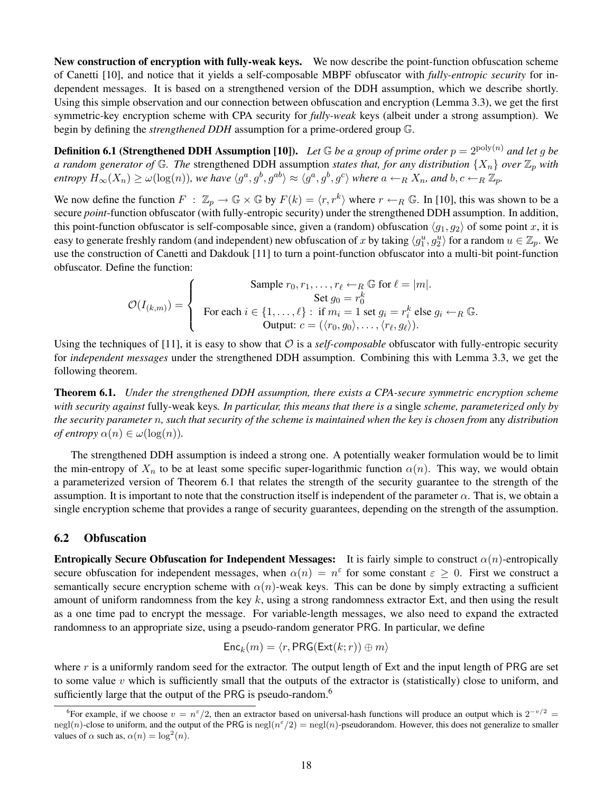New construction of encryption with fully-weak keys. We now describe the point-function obfuscation scheme of Canetti [10], and notice that it yields a self-composable MBPF obfuscator with *fully-entropic security* for independent messages. It is based on a strengthened version of the DDH assumption, which we describe shortly. Using this simple observation and our connection between obfuscation and encryption (Lemma 3.3), we get the first symmetric-key encryption scheme with CPA security for *fully-weak* keys (albeit under a strong assumption). We begin by defining the *strengthened DDH* assumption for a prime-ordered group G.

**Definition 6.1 (Strengthened DDH Assumption [10]).** Let  $\mathbb{G}$  be a group of prime order  $p = 2^{\text{poly}(n)}$  and let g be *a random generator of*  $\mathbb{G}$ *. The* strengthened DDH assumption *states that, for any distribution*  $\{X_n\}$  *over*  $\mathbb{Z}_p$  *with*  $\mathit{entropy}\ H_\infty(X_n) \ge \omega(\log(n))$ , we have  $\langle g^a, g^b, g^{ab}\rangle \approx \langle g^a, g^b, g^c\rangle$  where  $a \leftarrow_R X_n$ , and  $b, c \leftarrow_R \mathbb{Z}_p$ .

We now define the function  $F : \mathbb{Z}_p \to \mathbb{G} \times \mathbb{G}$  by  $F(k) = \langle r, r^k \rangle$  where  $r \leftarrow_R \mathbb{G}$ . In [10], this was shown to be a secure *point*-function obfuscator (with fully-entropic security) under the strengthened DDH assumption. In addition, this point-function obfuscator is self-composable since, given a (random) obfuscation  $\langle g_1, g_2 \rangle$  of some point x, it is easy to generate freshly random (and independent) new obfuscation of x by taking  $\langle g_1^u, g_2^u \rangle$  for a random  $u \in \mathbb{Z}_p$ . We use the construction of Canetti and Dakdouk [11] to turn a point-function obfuscator into a multi-bit point-function obfuscator. Define the function:

$$
\mathcal{O}(I_{(k,m)}) = \begin{cases}\n\text{Sample } r_0, r_1, \dots, r_\ell \leftarrow_R \mathbb{G} \text{ for } \ell = |m|. \\
\text{Set } g_0 = r_0^k \\
\text{For each } i \in \{1, \dots, \ell\} : \text{ if } m_i = 1 \text{ set } g_i = r_i^k \text{ else } g_i \leftarrow_R \mathbb{G}.\n\end{cases}
$$
\n
$$
\text{Output: } c = (\langle r_0, g_0 \rangle, \dots, \langle r_\ell, g_\ell \rangle).
$$

Using the techniques of [11], it is easy to show that  $\mathcal O$  is a *self-composable* obfuscator with fully-entropic security for *independent messages* under the strengthened DDH assumption. Combining this with Lemma 3.3, we get the following theorem.

Theorem 6.1. *Under the strengthened DDH assumption, there exists a CPA-secure symmetric encryption scheme with security against* fully-weak keys*. In particular, this means that there is a* single *scheme, parameterized only by the security parameter* n*, such that security of the scheme is maintained when the key is chosen from* any *distribution of entropy*  $\alpha(n) \in \omega(\log(n))$ .

The strengthened DDH assumption is indeed a strong one. A potentially weaker formulation would be to limit the min-entropy of  $X_n$  to be at least some specific super-logarithmic function  $\alpha(n)$ . This way, we would obtain a parameterized version of Theorem 6.1 that relates the strength of the security guarantee to the strength of the assumption. It is important to note that the construction itself is independent of the parameter  $\alpha$ . That is, we obtain a single encryption scheme that provides a range of security guarantees, depending on the strength of the assumption.

#### 6.2 Obfuscation

**Entropically Secure Obfuscation for Independent Messages:** It is fairly simple to construct  $\alpha(n)$ -entropically secure obfuscation for independent messages, when  $\alpha(n) = n^{\varepsilon}$  for some constant  $\varepsilon \geq 0$ . First we construct a semantically secure encryption scheme with  $\alpha(n)$ -weak keys. This can be done by simply extracting a sufficient amount of uniform randomness from the key  $k$ , using a strong randomness extractor Ext, and then using the result as a one time pad to encrypt the message. For variable-length messages, we also need to expand the extracted randomness to an appropriate size, using a pseudo-random generator PRG. In particular, we define

$$
\mathsf{Enc}_k(m) = \langle r, \mathsf{PRG}(\mathsf{Ext}(k; r)) \oplus m \rangle
$$

where r is a uniformly random seed for the extractor. The output length of  $Ext$  and the input length of  $PRG$  are set to some value  $v$  which is sufficiently small that the outputs of the extractor is (statistically) close to uniform, and sufficiently large that the output of the PRG is pseudo-random.<sup>6</sup>

<sup>&</sup>lt;sup>6</sup>For example, if we choose  $v = n^{\epsilon}/2$ , then an extractor based on universal-hash functions will produce an output which is  $2^{-v/2}$  = negl(n)-close to uniform, and the output of the PRG is negl( $n^{\epsilon}/2$ ) = negl(n)-pseudorandom. However, this does not generalize to smaller values of  $\alpha$  such as,  $\alpha(n) = \log^2(n)$ .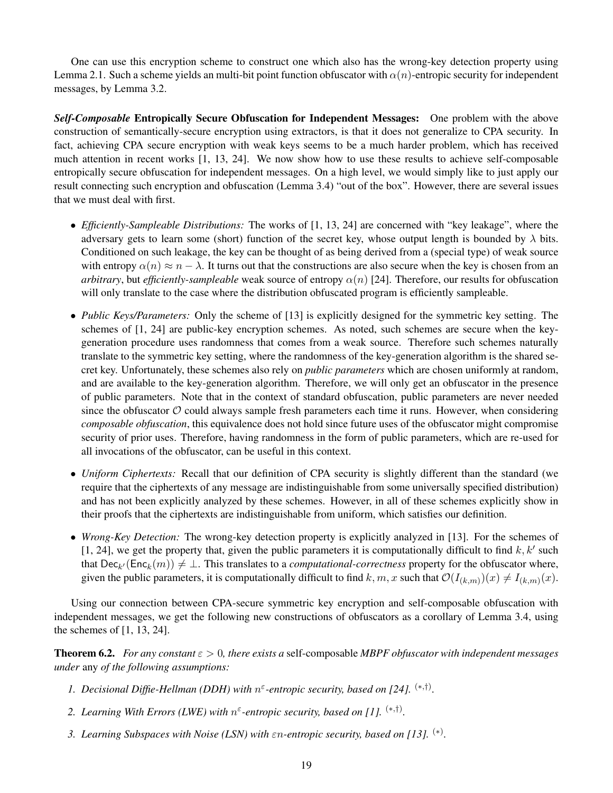One can use this encryption scheme to construct one which also has the wrong-key detection property using Lemma 2.1. Such a scheme yields an multi-bit point function obfuscator with  $\alpha(n)$ -entropic security for independent messages, by Lemma 3.2.

*Self-Composable* Entropically Secure Obfuscation for Independent Messages: One problem with the above construction of semantically-secure encryption using extractors, is that it does not generalize to CPA security. In fact, achieving CPA secure encryption with weak keys seems to be a much harder problem, which has received much attention in recent works [1, 13, 24]. We now show how to use these results to achieve self-composable entropically secure obfuscation for independent messages. On a high level, we would simply like to just apply our result connecting such encryption and obfuscation (Lemma 3.4) "out of the box". However, there are several issues that we must deal with first.

- *Efficiently-Sampleable Distributions:* The works of [1, 13, 24] are concerned with "key leakage", where the adversary gets to learn some (short) function of the secret key, whose output length is bounded by  $\lambda$  bits. Conditioned on such leakage, the key can be thought of as being derived from a (special type) of weak source with entropy  $\alpha(n) \approx n - \lambda$ . It turns out that the constructions are also secure when the key is chosen from an *arbitrary*, but *efficiently-sampleable* weak source of entropy  $\alpha(n)$  [24]. Therefore, our results for obfuscation will only translate to the case where the distribution obfuscated program is efficiently sampleable.
- *Public Keys/Parameters:* Only the scheme of [13] is explicitly designed for the symmetric key setting. The schemes of [1, 24] are public-key encryption schemes. As noted, such schemes are secure when the keygeneration procedure uses randomness that comes from a weak source. Therefore such schemes naturally translate to the symmetric key setting, where the randomness of the key-generation algorithm is the shared secret key. Unfortunately, these schemes also rely on *public parameters* which are chosen uniformly at random, and are available to the key-generation algorithm. Therefore, we will only get an obfuscator in the presence of public parameters. Note that in the context of standard obfuscation, public parameters are never needed since the obfuscator  $\mathcal O$  could always sample fresh parameters each time it runs. However, when considering *composable obfuscation*, this equivalence does not hold since future uses of the obfuscator might compromise security of prior uses. Therefore, having randomness in the form of public parameters, which are re-used for all invocations of the obfuscator, can be useful in this context.
- *Uniform Ciphertexts:* Recall that our definition of CPA security is slightly different than the standard (we require that the ciphertexts of any message are indistinguishable from some universally specified distribution) and has not been explicitly analyzed by these schemes. However, in all of these schemes explicitly show in their proofs that the ciphertexts are indistinguishable from uniform, which satisfies our definition.
- *Wrong-Key Detection:* The wrong-key detection property is explicitly analyzed in [13]. For the schemes of [1, 24], we get the property that, given the public parameters it is computationally difficult to find  $k, k'$  such that  $\textsf{Dec}_{k'}(\textsf{Enc}_k(m)) \neq \bot$ . This translates to a *computational-correctness* property for the obfuscator where, given the public parameters, it is computationally difficult to find  $k, m, x$  such that  $\mathcal{O}(I_{(k,m)})(x) \neq I_{(k,m)}(x)$ .

Using our connection between CPA-secure symmetric key encryption and self-composable obfuscation with independent messages, we get the following new constructions of obfuscators as a corollary of Lemma 3.4, using the schemes of [1, 13, 24].

**Theorem 6.2.** *For any constant*  $\varepsilon > 0$ *, there exists a* self-composable *MBPF obfuscator with independent messages under* any *of the following assumptions:*

- *1. Decisional Diffie-Hellman (DDH) with*  $n^{\epsilon}$ -entropic security, based on [24]. <sup>(\*,†)</sup>.
- 2. Learning With Errors (LWE) with  $n^{\varepsilon}$ -entropic security, based on [1]. <sup>(\*,†)</sup>.
- *3. Learning Subspaces with Noise (LSN) with* εn*-entropic security, based on [13].* (∗) *.*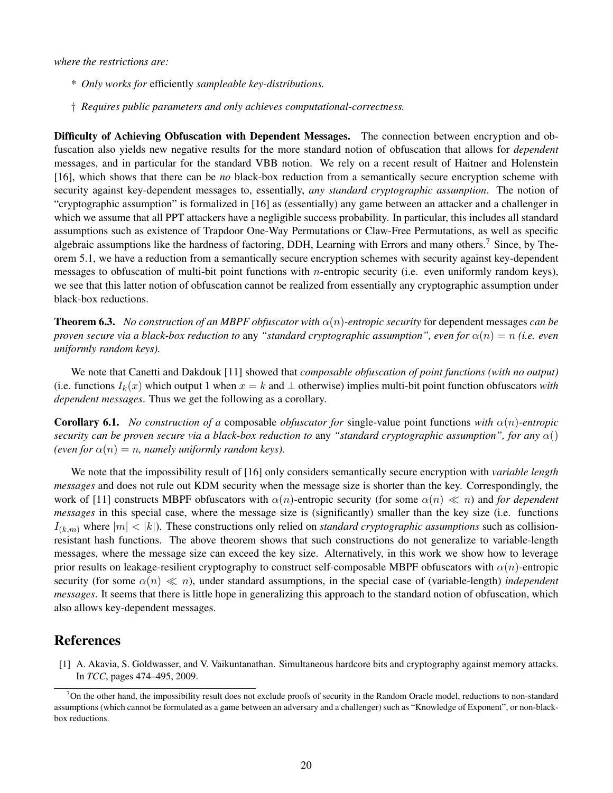*where the restrictions are:*

- *\* Only works for* efficiently *sampleable key-distributions.*
- † *Requires public parameters and only achieves computational-correctness.*

Difficulty of Achieving Obfuscation with Dependent Messages. The connection between encryption and obfuscation also yields new negative results for the more standard notion of obfuscation that allows for *dependent* messages, and in particular for the standard VBB notion. We rely on a recent result of Haitner and Holenstein [16], which shows that there can be *no* black-box reduction from a semantically secure encryption scheme with security against key-dependent messages to, essentially, *any standard cryptographic assumption*. The notion of "cryptographic assumption" is formalized in [16] as (essentially) any game between an attacker and a challenger in which we assume that all PPT attackers have a negligible success probability. In particular, this includes all standard assumptions such as existence of Trapdoor One-Way Permutations or Claw-Free Permutations, as well as specific algebraic assumptions like the hardness of factoring, DDH, Learning with Errors and many others.<sup>7</sup> Since, by Theorem 5.1, we have a reduction from a semantically secure encryption schemes with security against key-dependent messages to obfuscation of multi-bit point functions with *n*-entropic security (i.e. even uniformly random keys), we see that this latter notion of obfuscation cannot be realized from essentially any cryptographic assumption under black-box reductions.

**Theorem 6.3.** *No construction of an MBPF obfuscator with*  $\alpha(n)$ -entropic security for dependent messages *can be proven secure via a black-box reduction to* any *"standard cryptographic assumption", even for*  $\alpha(n) = n$  *(i.e. even*) *uniformly random keys).*

We note that Canetti and Dakdouk [11] showed that *composable obfuscation of point functions (with no output)* (i.e. functions  $I_k(x)$  which output 1 when  $x = k$  and  $\perp$  otherwise) implies multi-bit point function obfuscators *with dependent messages*. Thus we get the following as a corollary.

**Corollary 6.1.** *No construction of a* composable *obfuscator for* single-value point functions *with*  $\alpha(n)$ -*entropic security can be proven secure via a black-box reduction to* any *"standard cryptographic assumption", for any* α() *(even for*  $\alpha(n) = n$ , *namely uniformly random keys).* 

We note that the impossibility result of [16] only considers semantically secure encryption with *variable length messages* and does not rule out KDM security when the message size is shorter than the key. Correspondingly, the work of [11] constructs MBPF obfuscators with  $\alpha(n)$ -entropic security (for some  $\alpha(n) \ll n$ ) and *for dependent messages* in this special case, where the message size is (significantly) smaller than the key size (i.e. functions  $I_{(k,m)}$  where  $|m| < |k|$ ). These constructions only relied on *standard cryptographic assumptions* such as collisionresistant hash functions. The above theorem shows that such constructions do not generalize to variable-length messages, where the message size can exceed the key size. Alternatively, in this work we show how to leverage prior results on leakage-resilient cryptography to construct self-composable MBPF obfuscators with  $\alpha(n)$ -entropic security (for some  $\alpha(n) \ll n$ ), under standard assumptions, in the special case of (variable-length) *independent messages*. It seems that there is little hope in generalizing this approach to the standard notion of obfuscation, which also allows key-dependent messages.

### References

[1] A. Akavia, S. Goldwasser, and V. Vaikuntanathan. Simultaneous hardcore bits and cryptography against memory attacks. In *TCC*, pages 474–495, 2009.

 $7$ On the other hand, the impossibility result does not exclude proofs of security in the Random Oracle model, reductions to non-standard assumptions (which cannot be formulated as a game between an adversary and a challenger) such as "Knowledge of Exponent", or non-blackbox reductions.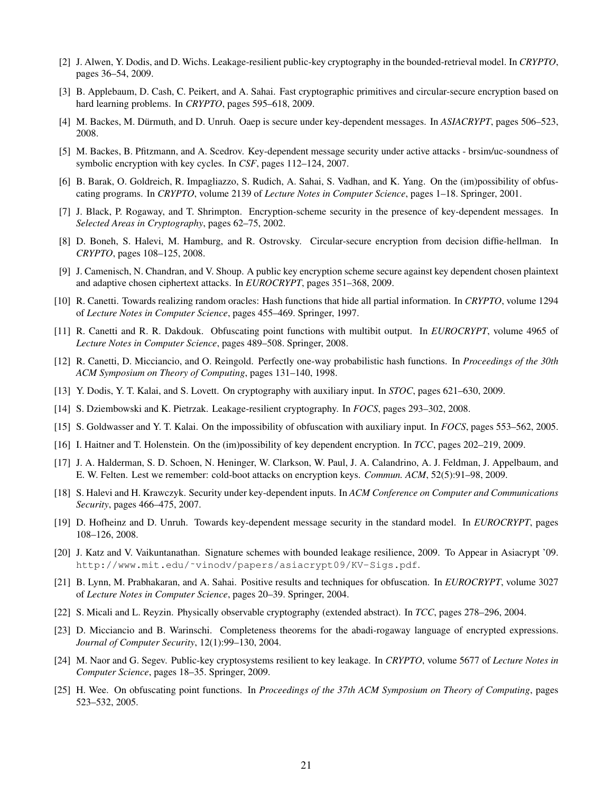- [2] J. Alwen, Y. Dodis, and D. Wichs. Leakage-resilient public-key cryptography in the bounded-retrieval model. In *CRYPTO*, pages 36–54, 2009.
- [3] B. Applebaum, D. Cash, C. Peikert, and A. Sahai. Fast cryptographic primitives and circular-secure encryption based on hard learning problems. In *CRYPTO*, pages 595–618, 2009.
- [4] M. Backes, M. Dürmuth, and D. Unruh. Oaep is secure under key-dependent messages. In *ASIACRYPT*, pages 506–523, 2008.
- [5] M. Backes, B. Pfitzmann, and A. Scedrov. Key-dependent message security under active attacks brsim/uc-soundness of symbolic encryption with key cycles. In *CSF*, pages 112–124, 2007.
- [6] B. Barak, O. Goldreich, R. Impagliazzo, S. Rudich, A. Sahai, S. Vadhan, and K. Yang. On the (im)possibility of obfuscating programs. In *CRYPTO*, volume 2139 of *Lecture Notes in Computer Science*, pages 1–18. Springer, 2001.
- [7] J. Black, P. Rogaway, and T. Shrimpton. Encryption-scheme security in the presence of key-dependent messages. In *Selected Areas in Cryptography*, pages 62–75, 2002.
- [8] D. Boneh, S. Halevi, M. Hamburg, and R. Ostrovsky. Circular-secure encryption from decision diffie-hellman. In *CRYPTO*, pages 108–125, 2008.
- [9] J. Camenisch, N. Chandran, and V. Shoup. A public key encryption scheme secure against key dependent chosen plaintext and adaptive chosen ciphertext attacks. In *EUROCRYPT*, pages 351–368, 2009.
- [10] R. Canetti. Towards realizing random oracles: Hash functions that hide all partial information. In *CRYPTO*, volume 1294 of *Lecture Notes in Computer Science*, pages 455–469. Springer, 1997.
- [11] R. Canetti and R. R. Dakdouk. Obfuscating point functions with multibit output. In *EUROCRYPT*, volume 4965 of *Lecture Notes in Computer Science*, pages 489–508. Springer, 2008.
- [12] R. Canetti, D. Micciancio, and O. Reingold. Perfectly one-way probabilistic hash functions. In *Proceedings of the 30th ACM Symposium on Theory of Computing*, pages 131–140, 1998.
- [13] Y. Dodis, Y. T. Kalai, and S. Lovett. On cryptography with auxiliary input. In *STOC*, pages 621–630, 2009.
- [14] S. Dziembowski and K. Pietrzak. Leakage-resilient cryptography. In *FOCS*, pages 293–302, 2008.
- [15] S. Goldwasser and Y. T. Kalai. On the impossibility of obfuscation with auxiliary input. In *FOCS*, pages 553–562, 2005.
- [16] I. Haitner and T. Holenstein. On the (im)possibility of key dependent encryption. In *TCC*, pages 202–219, 2009.
- [17] J. A. Halderman, S. D. Schoen, N. Heninger, W. Clarkson, W. Paul, J. A. Calandrino, A. J. Feldman, J. Appelbaum, and E. W. Felten. Lest we remember: cold-boot attacks on encryption keys. *Commun. ACM*, 52(5):91–98, 2009.
- [18] S. Halevi and H. Krawczyk. Security under key-dependent inputs. In *ACM Conference on Computer and Communications Security*, pages 466–475, 2007.
- [19] D. Hofheinz and D. Unruh. Towards key-dependent message security in the standard model. In *EUROCRYPT*, pages 108–126, 2008.
- [20] J. Katz and V. Vaikuntanathan. Signature schemes with bounded leakage resilience, 2009. To Appear in Asiacrypt '09. http://www.mit.edu/˜vinodv/papers/asiacrypt09/KV-Sigs.pdf.
- [21] B. Lynn, M. Prabhakaran, and A. Sahai. Positive results and techniques for obfuscation. In *EUROCRYPT*, volume 3027 of *Lecture Notes in Computer Science*, pages 20–39. Springer, 2004.
- [22] S. Micali and L. Reyzin. Physically observable cryptography (extended abstract). In *TCC*, pages 278–296, 2004.
- [23] D. Micciancio and B. Warinschi. Completeness theorems for the abadi-rogaway language of encrypted expressions. *Journal of Computer Security*, 12(1):99–130, 2004.
- [24] M. Naor and G. Segev. Public-key cryptosystems resilient to key leakage. In *CRYPTO*, volume 5677 of *Lecture Notes in Computer Science*, pages 18–35. Springer, 2009.
- [25] H. Wee. On obfuscating point functions. In *Proceedings of the 37th ACM Symposium on Theory of Computing*, pages 523–532, 2005.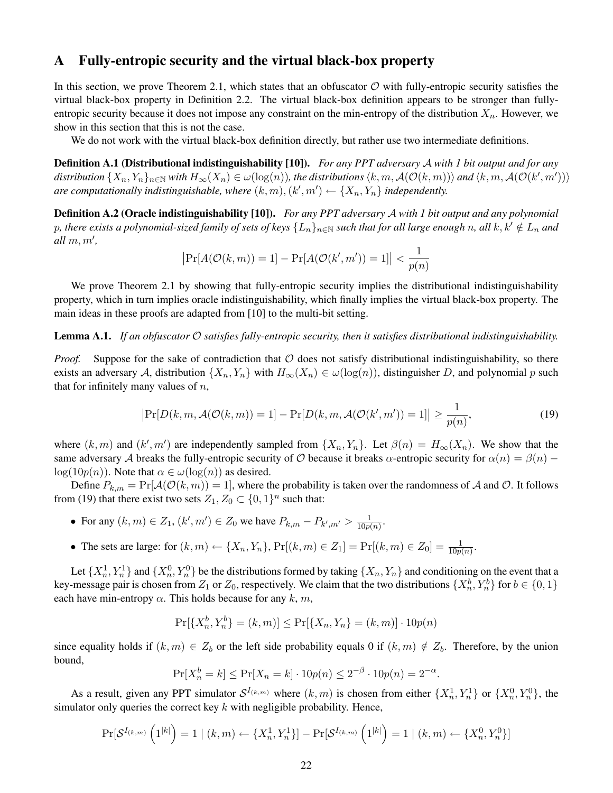### A Fully-entropic security and the virtual black-box property

In this section, we prove Theorem 2.1, which states that an obfuscator  $\mathcal O$  with fully-entropic security satisfies the virtual black-box property in Definition 2.2. The virtual black-box definition appears to be stronger than fullyentropic security because it does not impose any constraint on the min-entropy of the distribution  $X_n$ . However, we show in this section that this is not the case.

We do not work with the virtual black-box definition directly, but rather use two intermediate definitions.

Definition A.1 (Distributional indistinguishability [10]). *For any PPT adversary* A *with 1 bit output and for any*  $\alpha$  *distribution*  $\{X_n, Y_n\}_{n\in\mathbb{N}}$  *with*  $H_\infty(X_n) \in \omega(\log(n))$ , the distributions  $\langle k, m, \mathcal{A}(\mathcal{O}(k,m))\rangle$  and  $\langle k, m, \mathcal{A}(\mathcal{O}(k',m'))\rangle$ are computationally indistinguishable, where  $(k, m)$ ,  $(k', m') \leftarrow \{X_n, Y_n\}$  independently.

Definition A.2 (Oracle indistinguishability [10]). *For any PPT adversary* A *with 1 bit output and any polynomial* p, there exists a polynomial-sized family of sets of keys  $\{L_n\}_{n\in\mathbb{N}}$  such that for all large enough n, all  $k, k' \notin L_n$  and  $all m, m',$ 

$$
\big|\text{Pr}[A(\mathcal{O}(k,m))=1]-\text{Pr}[A(\mathcal{O}(k',m'))=1]\big|<\frac{1}{p(n)}
$$

We prove Theorem 2.1 by showing that fully-entropic security implies the distributional indistinguishability property, which in turn implies oracle indistinguishability, which finally implies the virtual black-box property. The main ideas in these proofs are adapted from [10] to the multi-bit setting.

Lemma A.1. *If an obfuscator* O *satisfies fully-entropic security, then it satisfies distributional indistinguishability.*

*Proof.* Suppose for the sake of contradiction that  $\mathcal O$  does not satisfy distributional indistinguishability, so there exists an adversary A, distribution  $\{X_n, Y_n\}$  with  $H_\infty(X_n) \in \omega(\log(n))$ , distinguisher D, and polynomial p such that for infinitely many values of  $n$ ,

$$
\left|\Pr[D(k,m,\mathcal{A}(\mathcal{O}(k,m))=1]-\Pr[D(k,m,\mathcal{A}(\mathcal{O}(k',m'))=1]\right|\geq\frac{1}{p(n)},\tag{19}
$$

where  $(k, m)$  and  $(k', m')$  are independently sampled from  $\{X_n, Y_n\}$ . Let  $\beta(n) = H_\infty(X_n)$ . We show that the same adversary A breaks the fully-entropic security of O because it breaks  $\alpha$ -entropic security for  $\alpha(n) = \beta(n)$  –  $log(10p(n))$ . Note that  $\alpha \in \omega(log(n))$  as desired.

Define  $P_{k,m} = \Pr[\mathcal{A}(\mathcal{O}(k,m)) = 1]$ , where the probability is taken over the randomness of A and O. It follows from (19) that there exist two sets  $Z_1, Z_0 \subset \{0, 1\}^n$  such that:

- For any  $(k, m) \in Z_1$ ,  $(k', m') \in Z_0$  we have  $P_{k,m} P_{k',m'} > \frac{1}{10m}$  $\frac{1}{10p(n)}$
- The sets are large: for  $(k, m) \leftarrow \{X_n, Y_n\}$ ,  $Pr[(k, m) \in Z_1] = Pr[(k, m) \in Z_0] = \frac{1}{10p(n)}$ .

Let  $\{X_n^1, Y_n^1\}$  and  $\{X_n^0, Y_n^0\}$  be the distributions formed by taking  $\{X_n, Y_n\}$  and conditioning on the event that a key-message pair is chosen from  $Z_1$  or  $Z_0$ , respectively. We claim that the two distributions  $\{X_n^b, Y_n^b\}$  for  $b \in \{0,1\}$ each have min-entropy  $\alpha$ . This holds because for any k, m,

$$
Pr[{X_n^b, Y_n^b} = (k, m)] \le Pr[{X_n, Y_n} = (k, m)] \cdot 10p(n)
$$

since equality holds if  $(k, m) \in Z_b$  or the left side probability equals 0 if  $(k, m) \notin Z_b$ . Therefore, by the union bound,

$$
\Pr[X_n^b = k] \le \Pr[X_n = k] \cdot 10p(n) \le 2^{-\beta} \cdot 10p(n) = 2^{-\alpha}.
$$

As a result, given any PPT simulator  $S^{I_{(k,m)}}$  where  $(k,m)$  is chosen from either  $\{X_n^1, Y_n^1\}$  or  $\{X_n^0, Y_n^0\}$ , the simulator only queries the correct key  $k$  with negligible probability. Hence,

$$
\Pr[\mathcal{S}^{I_{(k,m)}}\left(1^{|k|}\right) = 1 \mid (k,m) \leftarrow \{X_n^1, Y_n^1\}\] - \Pr[\mathcal{S}^{I_{(k,m)}}\left(1^{|k|}\right) = 1 \mid (k,m) \leftarrow \{X_n^0, Y_n^0\}\]
$$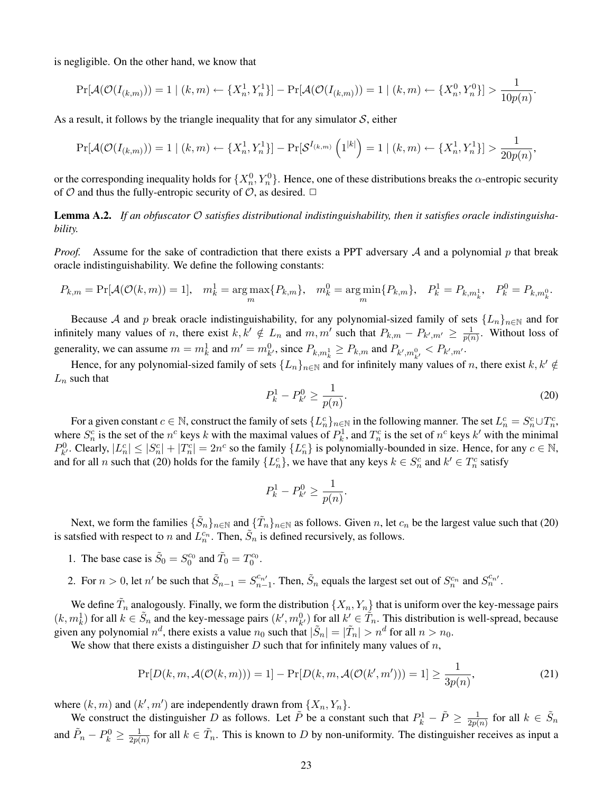is negligible. On the other hand, we know that

$$
\Pr[\mathcal{A}(\mathcal{O}(I_{(k,m)})) = 1 \mid (k,m) \leftarrow \{X_n^1, Y_n^1\}] - \Pr[\mathcal{A}(\mathcal{O}(I_{(k,m)})) = 1 \mid (k,m) \leftarrow \{X_n^0, Y_n^0\}] > \frac{1}{10p(n)}.
$$

As a result, it follows by the triangle inequality that for any simulator  $S$ , either

$$
\Pr[\mathcal{A}(\mathcal{O}(I_{(k,m)})) = 1 \mid (k,m) \leftarrow \{X_n^1, Y_n^1\}] - \Pr[\mathcal{S}^{I_{(k,m)}}\left(1^{|k|}\right) = 1 \mid (k,m) \leftarrow \{X_n^1, Y_n^1\}] > \frac{1}{20p(n)},
$$

or the corresponding inequality holds for  $\{X_n^0, Y_n^0\}$ . Hence, one of these distributions breaks the  $\alpha$ -entropic security of  $O$  and thus the fully-entropic security of  $O$ , as desired.  $\Box$ 

Lemma A.2. *If an obfuscator* O *satisfies distributional indistinguishability, then it satisfies oracle indistinguishability.*

*Proof.* Assume for the sake of contradiction that there exists a PPT adversary  $A$  and a polynomial  $p$  that break oracle indistinguishability. We define the following constants:

$$
P_{k,m} = \Pr[\mathcal{A}(\mathcal{O}(k,m)) = 1], \quad m_k^1 = \underset{m}{\arg\max} \{P_{k,m}\}, \quad m_k^0 = \underset{m}{\arg\min} \{P_{k,m}\}, \quad P_k^1 = P_{k,m_k^1}, \quad P_k^0 = P_{k,m_k^0}.
$$

Because A and p break oracle indistinguishability, for any polynomial-sized family of sets  $\{L_n\}_{n\in\mathbb{N}}$  and for infinitely many values of n, there exist  $k, k' \notin L_n$  and  $m, m'$  such that  $P_{k,m} - P_{k',m'} \geq \frac{1}{p(n+1)}$  $\frac{1}{p(n)}$ . Without loss of generality, we can assume  $m = m_k^1$  and  $m' = m_{k'}^0$ , since  $P_{k,m_k^1} \ge P_{k,m}$  and  $P_{k',m_{k'}^0} < P_{k',m'}$ .

Hence, for any polynomial-sized family of sets  $\{L_n\}_{n\in\mathbb{N}}$  and for infinitely many values of n, there exist  $k, k' \notin$  $L_n$  such that

$$
P_k^1 - P_{k'}^0 \ge \frac{1}{p(n)}.\tag{20}
$$

For a given constant  $c \in \mathbb{N}$ , construct the family of sets  $\{L_n^c\}_{n \in \mathbb{N}}$  in the following manner. The set  $L_n^c = S_n^c \cup T_n^c$ , where  $S_n^c$  is the set of the  $n^c$  keys k with the maximal values of  $P_k^1$ , and  $T_n^c$  is the set of  $n^c$  keys k' with the minimal  $P_{k'}^0$ . Clearly,  $|L_n^c| \leq |S_n^c| + |T_n^c| = 2n^c$  so the family  $\{L_n^c\}$  is polynomially-bounded in size. Hence, for any  $c \in \mathbb{N}$ , and for all n such that (20) holds for the family  $\{L_n^c\}$ , we have that any keys  $k \in S_n^c$  and  $k' \in T_n^c$  satisfy

$$
P_k^1 - P_{k'}^0 \ge \frac{1}{p(n)}.
$$

Next, we form the families  $\{\tilde{S}_n\}_{n\in\mathbb{N}}$  and  $\{\tilde{T}_n\}_{n\in\mathbb{N}}$  as follows. Given n, let  $c_n$  be the largest value such that (20) is satsfied with respect to n and  $L_n^{c_n}$ . Then,  $\tilde{S}_n$  is defined recursively, as follows.

- 1. The base case is  $\tilde{S}_0 = S_0^{c_0}$  and  $\tilde{T}_0 = T_0^{c_0}$ .
- 2. For  $n > 0$ , let n' be such that  $\tilde{S}_{n-1} = S_{n-1}^{c_{n'}}$ . Then,  $\tilde{S}_n$  equals the largest set out of  $S_n^{c_n}$  and  $S_n^{c_{n'}}$ .

We define  $\tilde{T}_n$  analogously. Finally, we form the distribution  $\{X_n, Y_n\}$  that is uniform over the key-message pairs  $(k, m_k^1)$  for all  $k \in \tilde{S}_n$  and the key-message pairs  $(k', m_{k'}^0)$  for all  $k' \in \tilde{T}_n$ . This distribution is well-spread, because given any polynomial  $n^d$ , there exists a value  $n_0$  such that  $|\tilde{S}_n| = |\tilde{T}_n| > n^d$  for all  $n > n_0$ .

We show that there exists a distinguisher  $D$  such that for infinitely many values of  $n$ ,

$$
\Pr[D(k,m,\mathcal{A}(\mathcal{O}(k,m)))=1]-\Pr[D(k,m,\mathcal{A}(\mathcal{O}(k',m')))=1]\geq \frac{1}{3p(n)},\tag{21}
$$

where  $(k, m)$  and  $(k', m')$  are independently drawn from  $\{X_n, Y_n\}$ .

We construct the distinguisher D as follows. Let  $\tilde{P}$  be a constant such that  $P_k^1 - \tilde{P} \ge \frac{1}{2p(r)}$  $\frac{1}{2p(n)}$  for all  $k \in \tilde{S}_n$ and  $\tilde{P}_n - P_k^0 \ge \frac{1}{2p(1)}$  $\frac{1}{2p(n)}$  for all  $k \in \tilde{T}_n$ . This is known to D by non-uniformity. The distinguisher receives as input a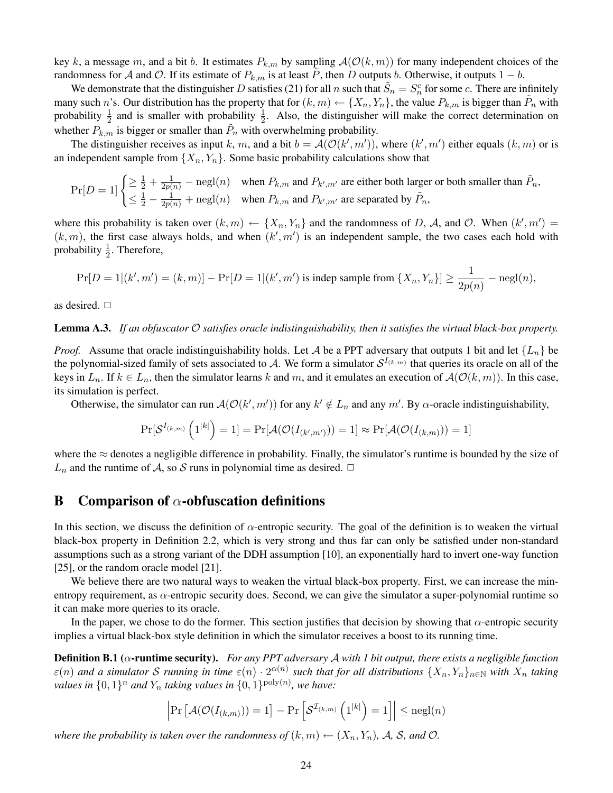key k, a message m, and a bit b. It estimates  $P_{k,m}$  by sampling  $\mathcal{A}(\mathcal{O}(k,m))$  for many independent choices of the randomness for A and O. If its estimate of  $P_{k,m}$  is at least P, then D outputs b. Otherwise, it outputs  $1 - b$ .

We demonstrate that the distinguisher D satisfies (21) for all n such that  $\tilde{S}_n = S_n^c$  for some c. There are infinitely many such n's. Our distribution has the property that for  $(k,m) \leftarrow \{X_n, Y_n\}$ , the value  $P_{k,m}$  is bigger than  $\tilde{P}_n$  with probability  $\frac{1}{2}$  and is smaller with probability  $\frac{1}{2}$ . Also, the distinguisher will make the correct determination on whether  $P_{k,m}$  is bigger or smaller than  $\tilde{P}_n$  with overwhelming probability.

The distinguisher receives as input k, m, and a bit  $b = \mathcal{A}(\mathcal{O}(k', m'))$ , where  $(k', m')$  either equals  $(k, m)$  or is an independent sample from  $\{X_n, Y_n\}$ . Some basic probability calculations show that

$$
\Pr[D=1] \begin{cases} \geq \frac{1}{2} + \frac{1}{2p(n)} - \text{negl}(n) & \text{when } P_{k,m} \text{ and } P_{k',m'} \text{ are either both larger or both smaller than } \tilde{P}_n, \\ \leq \frac{1}{2} - \frac{1}{2p(n)} + \text{negl}(n) & \text{when } P_{k,m} \text{ and } P_{k',m'} \text{ are separated by } \tilde{P}_n, \end{cases}
$$

where this probability is taken over  $(k,m) \leftarrow \{X_n, Y_n\}$  and the randomness of D, A, and O. When  $(k', m') =$  $(k, m)$ , the first case always holds, and when  $(k', m')$  is an independent sample, the two cases each hold with probability  $\frac{1}{2}$ . Therefore,

$$
\Pr[D=1|(k',m')=(k,m)]-\Pr[D=1|(k',m')\text{ is indep sample from }\{X_n,Y_n\}]\geq \frac{1}{2p(n)}-\text{negl}(n),
$$

as desired.  $\square$ 

#### Lemma A.3. *If an obfuscator* O *satisfies oracle indistinguishability, then it satisfies the virtual black-box property.*

*Proof.* Assume that oracle indistinguishability holds. Let A be a PPT adversary that outputs 1 bit and let  $\{L_n\}$  be the polynomial-sized family of sets associated to A. We form a simulator  $S^{I_{(k,m)}}$  that queries its oracle on all of the keys in  $L_n$ . If  $k \in L_n$ , then the simulator learns k and m, and it emulates an execution of  $\mathcal{A}(\mathcal{O}(k,m))$ . In this case, its simulation is perfect.

Otherwise, the simulator can run  $A(\mathcal{O}(k', m'))$  for any  $k' \notin L_n$  and any  $m'$ . By  $\alpha$ -oracle indistinguishability,

$$
\Pr[\mathcal{S}^{I_{(k,m)}}\left(1^{|k|}\right)=1] = \Pr[\mathcal{A}(\mathcal{O}(I_{(k',m')}))=1] \approx \Pr[\mathcal{A}(\mathcal{O}(I_{(k,m)}))=1]
$$

where the  $\approx$  denotes a negligible difference in probability. Finally, the simulator's runtime is bounded by the size of  $L_n$  and the runtime of A, so S runs in polynomial time as desired.  $\Box$ 

### B Comparison of  $\alpha$ -obfuscation definitions

In this section, we discuss the definition of  $\alpha$ -entropic security. The goal of the definition is to weaken the virtual black-box property in Definition 2.2, which is very strong and thus far can only be satisfied under non-standard assumptions such as a strong variant of the DDH assumption [10], an exponentially hard to invert one-way function [25], or the random oracle model [21].

We believe there are two natural ways to weaken the virtual black-box property. First, we can increase the minentropy requirement, as  $\alpha$ -entropic security does. Second, we can give the simulator a super-polynomial runtime so it can make more queries to its oracle.

In the paper, we chose to do the former. This section justifies that decision by showing that  $\alpha$ -entropic security implies a virtual black-box style definition in which the simulator receives a boost to its running time.

Definition B.1 (α-runtime security). *For any PPT adversary* A *with 1 bit output, there exists a negligible function*  $\varepsilon(n)$  and a simulator S running in time  $\varepsilon(n) \cdot 2^{\alpha(n)}$  such that for all distributions  $\{X_n, Y_n\}_{n\in\mathbb{N}}$  with  $X_n$  taking *values in*  $\{0,1\}^n$  *and*  $Y_n$  *taking values in*  $\{0,1\}^{\text{poly}(n)}$ *, we have:* 

$$
\left|\Pr\left[\mathcal{A}(\mathcal{O}(I_{(k,m)}))=1\right]-\Pr\left[\mathcal{S}^{\mathcal{I}_{(k,m)}}\left(1^{|k|}\right)=1\right]\right|\leq \mathrm{negl}(n)
$$

*where the probability is taken over the randomness of*  $(k, m) \leftarrow (X_n, Y_n)$ , A, S, and O.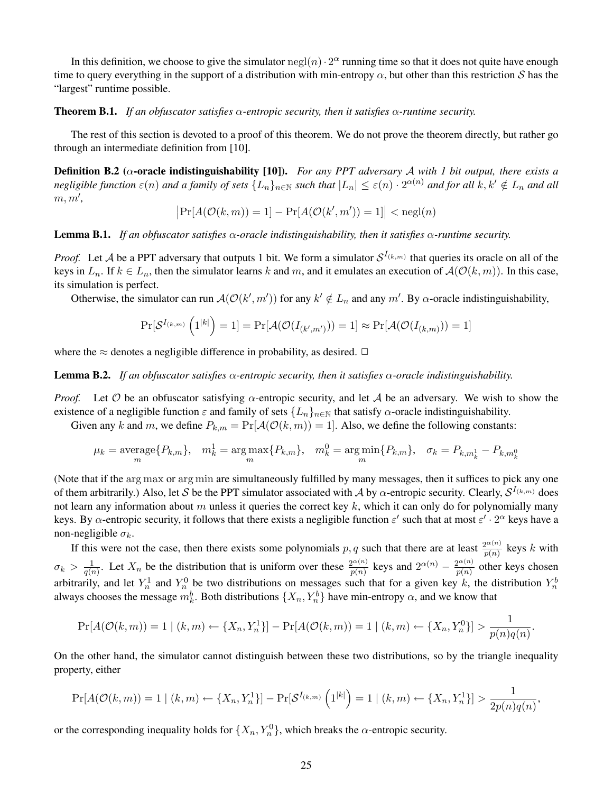In this definition, we choose to give the simulator  $negl(n) \cdot 2^{\alpha}$  running time so that it does not quite have enough time to query everything in the support of a distribution with min-entropy  $\alpha$ , but other than this restriction S has the "largest" runtime possible.

#### Theorem B.1. *If an obfuscator satisfies* α*-entropic security, then it satisfies* α*-runtime security.*

The rest of this section is devoted to a proof of this theorem. We do not prove the theorem directly, but rather go through an intermediate definition from [10].

Definition B.2 (α-oracle indistinguishability [10]). *For any PPT adversary* A *with 1 bit output, there exists a negligible function*  $\varepsilon(n)$  and a family of sets  $\{L_n\}_{n\in\mathbb{N}}$  such that  $|L_n|\leq \varepsilon(n)\cdot 2^{\alpha(n)}$  and for all  $k,k'\notin L_n$  and all  $m, m',$ 

$$
\left|\Pr[A(\mathcal{O}(k,m))=1]-\Pr[A(\mathcal{O}(k',m'))=1]\right|<\mathrm{negl}(n)
$$

Lemma B.1. *If an obfuscator satisfies* α*-oracle indistinguishability, then it satisfies* α*-runtime security.*

*Proof.* Let A be a PPT adversary that outputs 1 bit. We form a simulator  $S^{I_{(k,m)}}$  that queries its oracle on all of the keys in  $L_n$ . If  $k \in L_n$ , then the simulator learns k and m, and it emulates an execution of  $\mathcal{A}(\mathcal{O}(k,m))$ . In this case, its simulation is perfect.

Otherwise, the simulator can run  $\mathcal{A}(\mathcal{O}(k', m'))$  for any  $k' \notin L_n$  and any  $m'$ . By  $\alpha$ -oracle indistinguishability,

$$
\Pr[\mathcal{S}^{I_{(k,m)}}\left(1^{|k|}\right)=1]=\Pr[\mathcal{A}(\mathcal{O}(I_{(k',m')}))=1]\approx\Pr[\mathcal{A}(\mathcal{O}(I_{(k,m)}))=1]
$$

where the  $\approx$  denotes a negligible difference in probability, as desired.  $\Box$ 

#### Lemma B.2. *If an obfuscator satisfies* α*-entropic security, then it satisfies* α*-oracle indistinguishability.*

*Proof.* Let  $O$  be an obfuscator satisfying  $\alpha$ -entropic security, and let  $A$  be an adversary. We wish to show the existence of a negligible function  $\varepsilon$  and family of sets  $\{L_n\}_{n\in\mathbb{N}}$  that satisfy  $\alpha$ -oracle indistinguishability.

Given any k and m, we define  $P_{k,m} = \Pr[\mathcal{A}(\mathcal{O}(k,m)) = 1]$ . Also, we define the following constants:

$$
\mu_k = \operatorname{average}\{P_{k,m}\}, \quad m_k^1 = \operatorname{arg}\max_m \{P_{k,m}\}, \quad m_k^0 = \operatorname{arg}\min_m \{P_{k,m}\}, \quad \sigma_k = P_{k,m_k^1} - P_{k,m_k^0}
$$

(Note that if the arg max or arg min are simultaneously fulfilled by many messages, then it suffices to pick any one of them arbitrarily.) Also, let S be the PPT simulator associated with A by  $\alpha$ -entropic security. Clearly,  $S^{I_{(k,m)}}$  does not learn any information about m unless it queries the correct key  $k$ , which it can only do for polynomially many keys. By  $\alpha$ -entropic security, it follows that there exists a negligible function  $\varepsilon'$  such that at most  $\varepsilon' \cdot 2^\alpha$  keys have a non-negligible  $\sigma_k$ .

If this were not the case, then there exists some polynomials p, q such that there are at least  $\frac{2^{\alpha(n)}}{n(n)}$  $\frac{p^{(n)}}{p(n)}$  keys k with  $\sigma_k > \frac{1}{a(r)}$  $\frac{1}{q(n)}$ . Let  $X_n$  be the distribution that is uniform over these  $\frac{2^{\alpha(n)}}{p(n)}$  $\frac{p^{\alpha(n)}}{p(n)}$  keys and  $2^{\alpha(n)} - \frac{2^{\alpha(n)}}{p(n)}$  $\frac{p^{(n)}}{p(n)}$  other keys chosen arbitrarily, and let  $Y_n^1$  and  $Y_n^0$  be two distributions on messages such that for a given key k, the distribution  $Y_n^b$ always chooses the message  $m_k^b$ . Both distributions  $\{X_n, Y_n^b\}$  have min-entropy  $\alpha$ , and we know that

$$
\Pr[A(\mathcal{O}(k,m)) = 1 \mid (k,m) \leftarrow \{X_n, Y_n^1\}] - \Pr[A(\mathcal{O}(k,m)) = 1 \mid (k,m) \leftarrow \{X_n, Y_n^0\}] > \frac{1}{p(n)q(n)}.
$$

On the other hand, the simulator cannot distinguish between these two distributions, so by the triangle inequality property, either

$$
\Pr[A(\mathcal{O}(k,m)) = 1 \mid (k,m) \leftarrow \{X_n, Y_n^1\}] - \Pr[\mathcal{S}^{I_{(k,m)}}\left(1^{|k|}\right) = 1 \mid (k,m) \leftarrow \{X_n, Y_n^1\}] > \frac{1}{2p(n)q(n)},
$$

or the corresponding inequality holds for  $\{X_n, Y_n^0\}$ , which breaks the  $\alpha$ -entropic security.